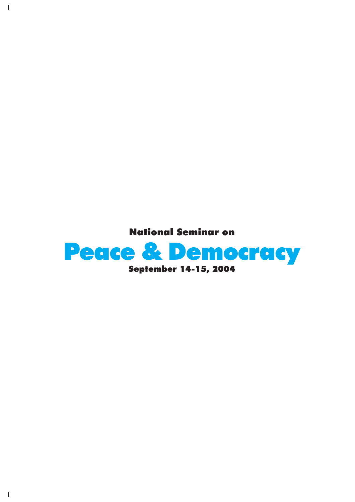**National Seminar on** 

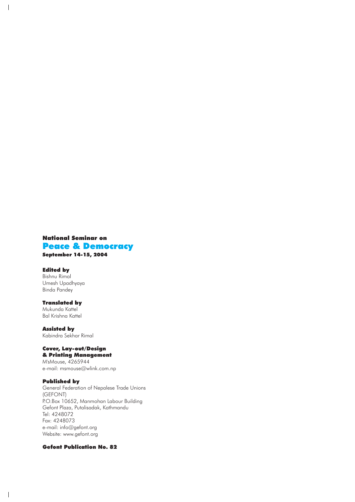## **National Seminar on Peace & Democracy**

**September 14-15, 2004** 

#### **Edited by**

Bishnu Rimal Umesh Upadhyaya **Binda Pandey** 

## **Translated by**

Mukunda Kattel Bal Krishna Kattel

**Assisted by** Kabindra Sekhar Rimal

#### **Cover, Lay-out/Design** & Printing Management

M'sMouse, 4265944 e-mail: msmouse@wlink.com.np

#### **Published by**

General Federation of Nepalese Trade Unions (GEFONT) P.O.Box 10652, Manmohan Labour Building Gefont Plaza, Putalisadak, Kathmandu Tel: 4248072 Fax: 4248073 e-mail: info@gefont.org Website: www.gefont.org

#### **Gefont Publication No. 82**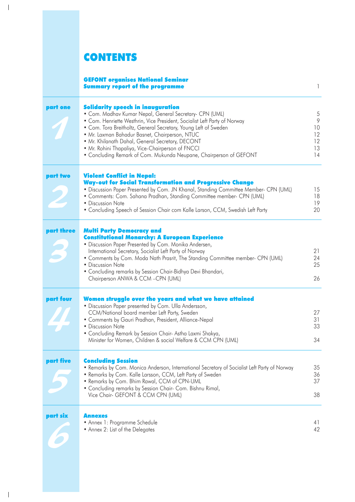# **CONTENTS**

#### **GEFONT organises National Seminar Summary report of the programme**

| part one   | <b>Solidarity speech in inauguration</b><br>• Com. Madhav Kumar Nepal, General Secretary- CPN (UML)<br>• Com. Henriette Westhrin, Vice President, Socialist Left Party of Norway<br>• Com. Tora Breitholtz, General Secretary, Young Left of Sweden<br>· Mr. Laxman Bahadur Basnet, Chairperson, NTUC<br>. Mr. Khilanath Dahal, General Secretary, DECONT<br>• Mr. Rohini Thapaliya, Vice-Chairperson of FNCCI<br>• Concluding Remark of Com. Mukunda Neupane, Chairperson of GEFONT | 5<br>9<br>10<br>12<br>12<br>13<br>14 |
|------------|--------------------------------------------------------------------------------------------------------------------------------------------------------------------------------------------------------------------------------------------------------------------------------------------------------------------------------------------------------------------------------------------------------------------------------------------------------------------------------------|--------------------------------------|
| part two   | <b>Violent Conflict in Nepal:</b><br><b>Way-out for Social Transformation and Progressive Change</b><br>. Discussion Paper Presented by Com. JN Khanal, Standing Committee Member- CPN (UML)<br>• Comments: Com. Sahana Pradhan, Standing Committee member- CPN (UML)<br>• Discussion Note<br>• Concluding Speech of Session Chair com Kalle Larson, CCM, Swedish Left Party                                                                                                         | 15<br>18<br>19<br>20                 |
| part three | <b>Multi Party Democracy and</b><br><b>Constitutional Monarchy: A European Experience</b><br>· Discussion Paper Presented by Com. Monika Andersen,<br>International Secretary, Socialist Left Party of Norway<br>• Comments by Com. Moda Nath Prasrit, The Standing Committee member- CPN (UML)<br>• Discussion Note<br>• Concluding remarks by Session Chair-Bidhya Devi Bhandari,<br>Chairperson ANWA & CCM -CPN (UML)                                                             | 21<br>24<br>25<br>26                 |
| part four  | Women struggle over the years and what we have attained<br>· Discussion Paper presented by Com. Ulla Andersson,<br>CCM/National board member Left Party, Sweden<br>• Comments by Gauri Pradhan, President, Alliance-Nepal<br>• Discussion Note<br>• Concluding Remark by Session Chair- Astha Laxmi Shakya,<br>Minister for Women, Children & social Welfare & CCM CPN (UML)                                                                                                         | 27<br>31<br>33<br>34                 |
| part five  | <b>Concluding Session</b><br>• Remarks by Com. Monica Anderson, International Secretary of Socialist Left Party of Norway<br>• Remarks by Com. Kalle Larsson, CCM, Left Party of Sweden<br>• Remarks by Com. Bhim Rawal, CCM of CPN-UML<br>• Concluding remarks by Session Chair- Com. Bishnu Rimal,<br>Vice Chair- GEFONT & CCM CPN (UML)                                                                                                                                           | 35<br>36<br>37<br>38                 |
| part six   | <b>Annexes</b><br>• Annex 1: Programme Schedule<br>• Annex 2: List of the Delegates                                                                                                                                                                                                                                                                                                                                                                                                  | 41<br>42                             |

 $\mathbf{1}$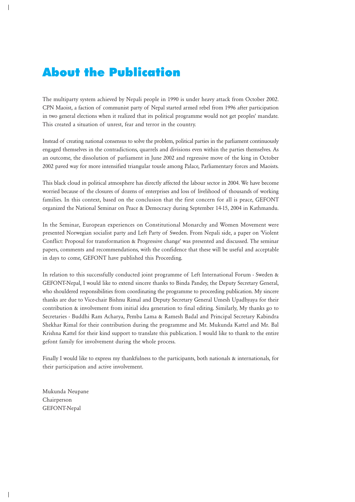# **About the Publication**

The multiparty system achieved by Nepali people in 1990 is under heavy attack from October 2002. CPN Maoist, a faction of communist party of Nepal started armed rebel from 1996 after participation in two general elections when it realized that its political programme would not get peoples' mandate. This created a situation of unrest, fear and terror in the country.

Instead of creating national consensus to solve the problem, political parties in the parliament continuously engaged themselves in the contradictions, quarrels and divisions even within the parties themselves. As an outcome, the dissolution of parliament in June 2002 and regressive move of the king in October 2002 paved way for more intensified triangular tousle among Palace, Parliamentary forces and Maoists.

This black cloud in political atmosphere has directly affected the labour sector in 2004. We have become worried because of the closures of dozens of enterprises and loss of livelihood of thousands of working families. In this context, based on the conclusion that the first concern for all is peace, GEFONT organized the National Seminar on Peace & Democracy during September 14-15, 2004 in Kathmandu.

In the Seminar, European experiences on Constitutional Monarchy and Women Movement were presented Norwegian socialist party and Left Party of Sweden. From Nepali side, a paper on 'Violent Conflict: Proposal for transformation & Progressive change' was presented and discussed. The seminar papers, comments and recommendations, with the confidence that these will be useful and acceptable in days to come, GEFONT have published this Proceeding.

In relation to this successfully conducted joint programme of Left International Forum - Sweden & GEFONT-Nepal, I would like to extend sincere thanks to Binda Pandey, the Deputy Secretary General, who shouldered responsibilities from coordinating the programme to proceeding publication. My sincere thanks are due to Vice-chair Bishnu Rimal and Deputy Secretary General Umesh Upadhyaya for their contribution & involvement from initial idea generation to final editing. Similarly, My thanks go to Secretaries - Buddhi Ram Acharya, Pemba Lama & Ramesh Badal and Principal Secretary Kabindra Shekhar Rimal for their contribution during the programme and Mr. Mukunda Kattel and Mr. Bal Krishna Kattel for their kind support to translate this publication. I would like to thank to the entire gefont family for involvement during the whole process.

Finally I would like to express my thankfulness to the participants, both nationals & internationals, for their participation and active involvement.

Mukunda Neupane Chairperson GEFONT-Nepal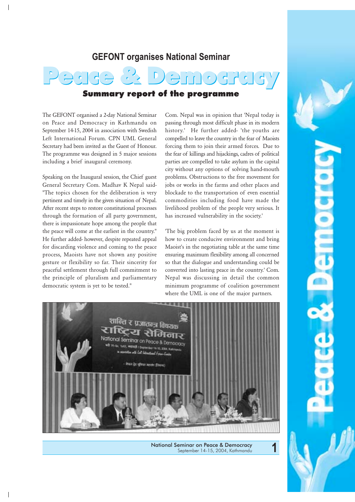## **GEFONT organises National Seminar**

## emosfeche  $Q_{\mathcal{C}}(1)$

### **Summary report of the programme**

The GEFONT organised a 2-day National Seminar on Peace and Democracy in Kathmandu on September 14-15, 2004 in association with Swedish Left International Forum. CPN UML General Secretary had been invited as the Guest of Honour. The programme was designed in 5 major sessions including a brief inaugural ceremony.

Speaking on the Inaugural session, the Chief guest General Secretary Com. Madhav K Nepal said-"The topics chosen for the deliberation is very pertinent and timely in the given situation of Nepal. After recent steps to restore constitutional processes through the formation of all party government, there is impassionate hope among the people that the peace will come at the earliest in the country." He further added- however, despite repeated appeal for discarding violence and coming to the peace process, Maoists have not shown any positive gesture or flexibility so far. Their sincerity for peaceful settlement through full commitment to the principle of pluralism and parliamentary democratic system is yet to be tested."

Com. Nepal was in opinion that 'Nepal today is passing through most difficult phase in its modern history.' He further added- 'the youths are compelled to leave the country in the fear of Maoists forcing them to join their armed forces. Due to the fear of killings and hijackings, cadres of political parties are compelled to take asylum in the capital city without any options of solving hand-mouth problems. Obstructions to the free movement for jobs or works in the farms and other places and blockade to the transportation of even essential commodities including food have made the livelihood problem of the people very serious. It has increased vulnerability in the society.'

**Condicions** 

The big problem faced by us at the moment is how to create conducive environment and bring Maoist's in the negotiating table at the same time ensuring maximum flexibility among all concerned so that the dialogue and understanding could be converted into lasting peace in the country.' Com. Nepal was discussing in detail the common minimum programme of coalition government where the UML is one of the major partners.



National Seminar on Peace & Democracy September 14-15, 2004, Kathmandu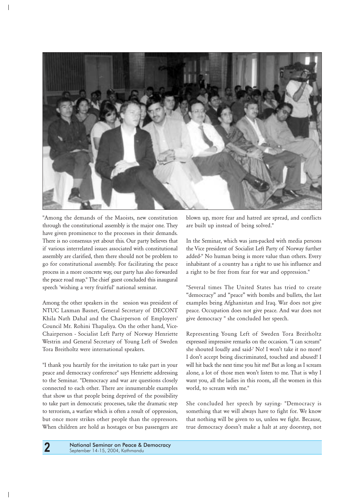

"Among the demands of the Maoists, new constitution through the constitutional assembly is the major one. They have given prominence to the processes in their demands. There is no consensus yet about this. Our party believes that if various interrelated issues associated with constitutional assembly are clarified, then there should not be problem to go for constitutional assembly. For facilitating the peace process in a more concrete way, our party has also forwarded the peace road map." The chief guest concluded this inaugural speech 'wishing a very fruitful' national seminar.

Among the other speakers in the session was president of NTUC Laxman Basnet, General Secretary of DECONT Khila Nath Dahal and the Chairperson of Employers' Council Mr. Rohini Thapaliya. On the other hand, Vice-Chairperson - Socialist Left Party of Norway Henriette Westrin and General Secretary of Young Left of Sweden Tora Breitholtz were international speakers.

"I thank you heartily for the invitation to take part in your peace and democracy conference" says Henriette addressing to the Seminar. "Democracy and war are questions closely connected to each other. There are innumerable examples that show us that people being deprived of the possibility to take part in democratic processes, take the dramatic step to terrorism, a warfare which is often a result of oppression, but once more strikes other people than the oppressors. When children are hold as hostages or bus passengers are

blown up, more fear and hatred are spread, and conflicts are built up instead of being solved."

In the Seminar, which was jam-packed with media persons the Vice president of Socialist Left Party of Norway further added-" No human being is more value than others. Every inhabitant of a country has a right to use his influence and a right to be free from fear for war and oppression."

"Several times The United States has tried to create "democracy" and "peace" with bombs and bullets, the last examples being Afghanistan and Iraq. War does not give peace. Occupation does not give peace. And war does not give democracy " she concluded her speech.

Representing Young Left of Sweden Tora Breitholtz expressed impressive remarks on the occasion. "I can scream" she shouted loudly and said-' No! I won't take it no more! I don't accept being discriminated, touched and abused! I will hit back the next time you hit me! But as long as I scream alone, a lot of those men won't listen to me. That is why I want you, all the ladies in this room, all the women in this world, to scream with me."

She concluded her speech by saying- "Democracy is something that we will always have to fight for. We know that nothing will be given to us, unless we fight. Because, true democracy doesn't make a halt at any doorstep, not

 $\boldsymbol{2}$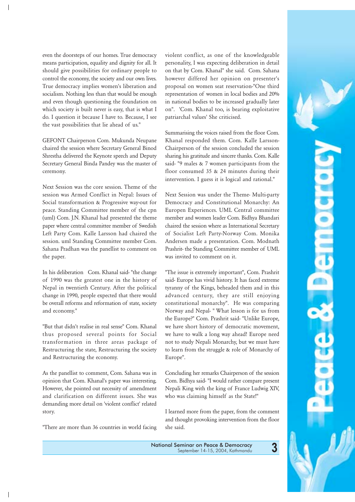even the doorsteps of our homes. True democracy means participation, equality and dignity for all. It should give possibilities for ordinary people to control the economy, the society and our own lives. True democracy implies women's liberation and socialism. Nothing less than that would be enough and even though questioning the foundation on which society is built never is easy, that is what I do. I question it because I have to. Because, I see the vast possibilities that lie ahead of us."

GEFONT Chairperson Com. Mukunda Neupane chaired the session where Secretary General Binod Shrestha delivered the Keynote speech and Deputy Secretary General Binda Pandey was the master of ceremony.

Next Session was the core session. Theme of the session was Armed Conflict in Nepal: Issues of Social transformation & Progressive way-out for peace. Standing Committee member of the cpn (uml) Com. J.N. Khanal had presented the theme paper where central committee member of Swedish Left Party Com. Kalle Larsson had chaired the session. uml Standing Committee member Com. Sahana Pradhan was the panellist to comment on the paper.

In his deliberation Com. Khanal said-"the change of 1990 was the greatest one in the history of Nepal in twentieth Century. After the political change in 1990, people expected that there would be overall reforms and reformation of state, society and economy."

"But that didn't realise in real sense" Com. Khanal thus proposed several points for Social transformation in three areas package of Restructuring the state, Restructuring the society and Restructuring the economy.

As the panellist to comment, Com. Sahana was in opinion that Com. Khanal's paper was interesting. However, she pointed out necessity of amendment and clarification on different issues. She was demanding more detail on 'violent conflict' related story.

"There are more than 36 countries in world facing

violent conflict, as one of the knowledgeable personality, I was expecting deliberation in detail on that by Com. Khanal" she said. Com. Sahana however differed her opinion on presenter's proposal on women seat reservation-"One third representation of women in local bodies and 20% in national bodies to be increased gradually later on". 'Com. Khanal too, is bearing exploitative patriarchal values' She criticised.

Summarising the voices raised from the floor Com. Khanal responded them. Com. Kalle Larsson-Chairperson of the session concluded the session sharing his gratitude and sincere thanks. Com. Kalle said- "9 males & 7 women participants from the floor consumed  $35 \& 24$  minutes during their intervention. I guess it is logical and rational."

Next Session was under the Theme- Multi-party Democracy and Constitutional Monarchy: An Europen Experiences. UML Central committee member and women leader Com. Bidhya Bhandari chaired the session where as International Secretary of Socialist Left Party-Norway Com. Monika Andersen made a presentation. Com. Modnath Prashrit- the Standing Committee member of UML was invited to comment on it.

"The issue is extremely important", Com. Prashrit said-Europe has vivid history. It has faced extreme tyranny of the Kings, beheaded them and in this advanced century, they are still enjoying constitutional monarchy". He was comparing Norway and Nepal- "What lesson is for us from the Europe?" Com. Prashrit said- "Unlike Europe, we have short history of democratic movement, we have to walk a long way ahead! Europe need not to study Nepali Monarchy, but we must have to learn from the struggle & role of Monarchy of Europe".

Concluding her remarks Chairperson of the session Com. Bidhya said- "I would rather compare present Nepali King with the king of France Ludwig XIV, who was claiming himself as the State!"

I learned more from the paper, from the comment and thought provoking intervention from the floor she said.

 $\overline{3}$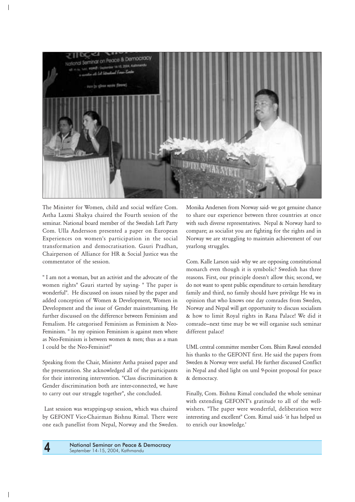

The Minister for Women, child and social welfare Com. Astha Laxmi Shakya chaired the Fourth session of the seminar. National board member of the Swedish Left Party Com. Ulla Andersson presented a paper on European Experiences on women's participation in the social transformation and democratisation. Gauri Pradhan, Chairperson of Alliance for HR & Social Justice was the commentator of the session.

"I am not a woman, but an activist and the advocate of the women rights" Gauri started by saying- " The paper is wonderful". He discussed on issues raised by the paper and added conception of Women & Development, Women in Development and the issue of Gender mainstreaming. He further discussed on the difference between Feminism and Femalism. He categorised Feminism as Feminism & Neo-Feminism. " In my opinion Feminism is against men where as Neo-Feminism is between women & men; thus as a man I could be the Neo-Feminist!"

Speaking from the Chair, Minister Astha praised paper and the presentation. She acknowledged all of the participants for their interesting intervention. "Class discrimination & Gender discrimination both are inter-connected, we have to carry out our struggle together", she concluded.

Last session was wrapping-up session, which was chaired by GEFONT Vice-Chairman Bishnu Rimal. There were one each panellist from Nepal, Norway and the Sweden.

Monika Andersen from Norway said- we got genuine chance to share our experience between three countries at once with such diverse representatives. Nepal & Norway hard to compare; as socialist you are fighting for the rights and in Norway we are struggling to maintain achievement of our yearlong struggles.

Com. Kalle Larson said- why we are opposing constitutional monarch even though it is symbolic? Swedish has three reasons. First, our principle doesn't allow this; second, we do not want to spent public expenditure to certain hereditary family and third, no family should have privilege He wa in opinion that who knows one day comrades from Sweden, Norway and Nepal will get opportunity to discuss socialism & how to limit Royal rights in Rana Palace! We did it comrade-next time may be we will organise such seminar different palace!

UML central committee member Com. Bhim Rawal extended his thanks to the GEFONT first. He said the papers from Sweden & Norway were useful. He further discussed Conflict in Nepal and shed light on uml 9-point proposal for peace & democracy.

Finally, Com. Bishnu Rimal concluded the whole seminar with extending GEFONT's gratitude to all of the wellwishers. "The paper were wonderful, deliberation were interesting and excellent" Com. Rimal said-'it has helped us to enrich our knowledge.'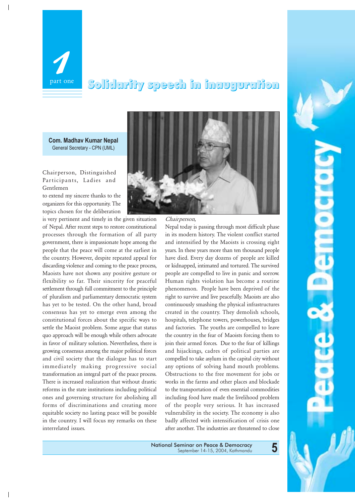part one

# **Solidarity speech in incurrential co**

**Com. Madhav Kumar Nepal** General Secretary - CPN (UML)

Chairperson, Distinguished Participants, Ladies and Gentlemen

to extend my sincere thanks to the organizers for this opportunity. The topics chosen for the deliberation

is very pertinent and timely in the given situation of Nepal. After recent steps to restore constitutional processes through the formation of all party government, there is impassionate hope among the people that the peace will come at the earliest in the country. However, despite repeated appeal for discarding violence and coming to the peace process, Maoists have not shown any positive gesture or flexibility so far. Their sincerity for peaceful settlement through full commitment to the principle of pluralism and parliamentary democratic system has yet to be tested. On the other hand, broad consensus has yet to emerge even among the constitutional forces about the specific ways to settle the Maoist problem. Some argue that status quo approach will be enough while others advocate in favor of military solution. Nevertheless, there is growing consensus among the major political forces and civil society that the dialogue has to start immediately making progressive social transformation an integral part of the peace process. There is increased realization that without drastic reforms in the state institutions including political ones and governing structure for abolishing all forms of discriminations and creating more equitable society no lasting peace will be possible in the country. I will focus my remarks on these interrelated issues.



Chairperson,

Nepal today is passing through most difficult phase in its modern history. The violent conflict started and intensified by the Maoists is crossing eight years. In these years more than ten thousand people have died. Every day dozens of people are killed or kidnapped, intimated and tortured. The survived people are compelled to live in panic and sorrow. Human rights violation has become a routine phenomenon. People have been deprived of the right to survive and live peacefully. Maoists are also continuously smashing the physical infrastructures created in the country. They demolish schools, hospitals, telephone towers, powerhouses, bridges and factories. The youths are compelled to leave the country in the fear of Maoists forcing them to join their armed forces. Due to the fear of killings and hijackings, cadres of political parties are compelled to take asylum in the capital city without any options of solving hand mouth problems. Obstructions to the free movement for jobs or works in the farms and other places and blockade to the transportation of even essential commodities including food have made the livelihood problem of the people very serious. It has increased vulnerability in the society. The economy is also badly affected with intensification of crisis one after another. The industries are threatened to close

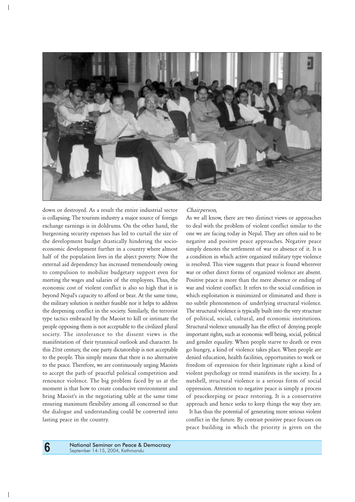

down or destroyed. As a result the entire industrial sector is collapsing. The tourism industry a major source of foreign exchange earnings is in doldrums. On the other hand, the burgeoning security expenses has led to curtail the size of the development budget drastically hindering the socioeconomic development further in a country where almost half of the population lives in the abject poverty. Now the external aid dependency has increased tremendously owing to compulsion to mobilize budgetary support even for meeting the wages and salaries of the employees. Thus, the economic cost of violent conflict is also so high that it is beyond Nepal's capacity to afford or bear. At the same time, the military solution is neither feasible nor it helps to address the deepening conflict in the society. Similarly, the terrorist type tactics embraced by the Maoist to kill or intimate the people opposing them is not acceptable to the civilized plural society. The intolerance to the dissent views is the manifestation of their tyrannical outlook and character. In this 21tst century, the one party dictatorship is not acceptable to the people. This simply means that there is no alternative to the peace. Therefore, we are continuously urging Maoists to accept the path of peaceful political competition and renounce violence. The big problem faced by us at the moment is that how to create conducive environment and bring Maoist's in the negotiating table at the same time ensuring maximum flexibility among all concerned so that the dialogue and understanding could be converted into lasting peace in the country.

#### Chairperson,

As we all know, there are two distinct views or approaches to deal with the problem of violent conflict similar to the one we are facing today in Nepal. They are often said to be negative and positive peace approaches. Negative peace simply denotes the settlement of war or absence of it. It is a condition in which active organized military type violence is resolved. This view suggests that peace is found wherever war or other direct forms of organized violence are absent. Positive peace is more than the mere absence or ending of war and violent conflict. It refers to the social condition in which exploitation is minimized or eliminated and there is no subtle phenomenon of underlying structural violence. The structural violence is typically built into the very structure of political, social, cultural, and economic institutions. Structural violence unusually has the effect of denying people important rights, such as economic well being, social, political and gender equality. When people starve to death or even go hungry, a kind of violence takes place. When people are denied education, health facilities, opportunities to work or freedom of expression for their legitimate right a kind of violent psychology or trend manifests in the society. In a nutshell, structural violence is a serious form of social oppression. Attention to negative peace is simply a process of peacekeeping or peace restoring. It is a conservative approach and hence seeks to keep things the way they are.

It has thus the potential of generating more serious violent conflict in the future. By contrast positive peace focuses on peace building in which the priority is given on the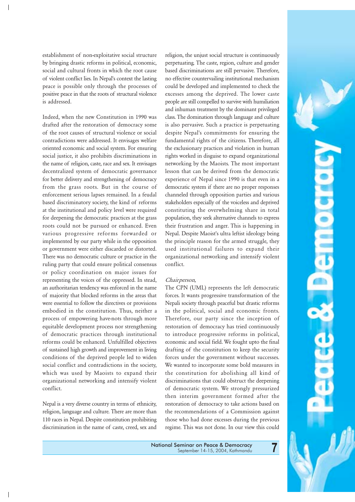establishment of non-exploitative social structure by bringing drastic reforms in political, economic, social and cultural fronts in which the root cause of violent conflict lies. In Nepal's context the lasting peace is possible only through the processes of positive peace in that the roots of structural violence is addressed.

Indeed, when the new Constitution in 1990 was drafted after the restoration of democracy some of the root causes of structural violence or social contradictions were addressed. It envisages welfare oriented economic and social system. For ensuring social justice, it also prohibits discriminations in the name of religion, caste, race and sex. It envisages decentralized system of democratic governance for better delivery and strengthening of democracy from the grass roots. But in the course of enforcement serious lapses remained. In a feudal based discriminatory society, the kind of reforms at the institutional and policy level were required for deepening the democratic practices at the grass roots could not be pursued or enhanced. Even various progressive reforms forwarded or implemented by our party while in the opposition or government were either discarded or distorted. There was no democratic culture or practice in the ruling party that could ensure political consensus or policy coordination on major issues for representing the voices of the oppressed. In stead, an authoritarian tendency was enforced in the name of majority that blocked reforms in the areas that were essential to follow the directives or provisions embodied in the constitution. Thus, neither a process of empowering have-nots through more equitable development process nor strengthening of democratic practices through institutional reforms could be enhanced. Unfulfilled objectives of sustained high growth and improvement in living conditions of the deprived people led to widen social conflict and contradictions in the society, which was used by Maoists to expand their organizational networking and intensify violent conflict.

Nepal is a very diverse country in terms of ethnicity, religion, language and culture. There are more than 110 races in Nepal. Despite constitution prohibiting discrimination in the name of caste, creed, sex and

religion, the unjust social structure is continuously perpetuating. The caste, region, culture and gender based discriminations are still pervasive. Therefore, no effective countervailing institutional mechanism could be developed and implemented to check the excesses among the deprived. The lower caste people are still compelled to survive with humiliation and inhuman treatment by the dominant privileged class. The domination through language and culture is also pervasive. Such a practice is perpetuating despite Nepal's commitments for ensuring the fundamental rights of the citizens. Therefore, all the exclusionary practices and violation in human rights worked in disguise to expand organizational networking by the Maoists. The most important lesson that can be derived from the democratic experience of Nepal since 1990 is that even in a democratic system if there are no proper responses channeled through opposition parties and various stakeholders especially of the voiceless and deprived constituting the overwhelming share in total population, they seek alternative channels to express their frustration and anger. This is happening in Nepal. Despite Maoist's ultra leftist ideology being the principle reason for the armed struggle, they used institutional failures to expand their organizational networking and intensify violent conflict.

#### Chairperson,

The CPN (UML) represents the left democratic forces. It wants progressive transformation of the Nepali society through peaceful but drastic reforms in the political, social and economic fronts. Therefore, our party since the inception of restoration of democracy has tried continuously to introduce progressive reforms in political, economic and social field. We fought upto the final drafting of the constitution to keep the security forces under the government without successes. We wanted to incorporate some bold measures in the constitution for abolishing all kind of discriminations that could obstruct the deepening of democratic system. We strongly pressurized then interim government formed after the restoration of democracy to take actions based on the recommendations of a Commission against those who had done excesses during the previous regime. This was not done. In our view this could

 $\overline{7}$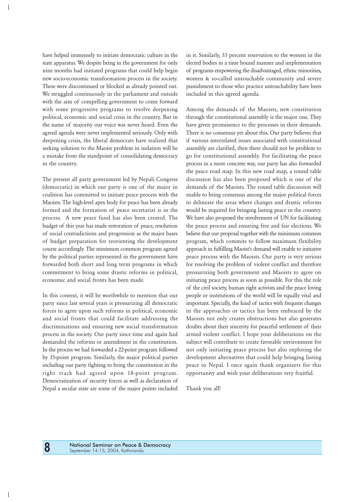have helped immensely to initiate democratic culture in the state apparatus. We despite being in the government for only nine months had initiated programs that could help begin new socio-economic transformation process in the society. These were discontinued or blocked as already pointed out. We struggled continuously in the parliament and outside with the aim of compelling government to come forward with some progressive programs to resolve deepening political, economic and social crisis in the country. But in the name of majority our voice was never heard. Even the agreed agenda were never implemented seriously. Only with deepening crisis, the liberal democrats have realized that seeking solution to the Maoist problem in isolation will be a mistake from the standpoint of consolidating democracy in the country.

The present all party government led by Nepali Congress (democratic) in which our party is one of the major in coalition has committed to initiate peace process with the Maoists. The high-level apex body for peace has been already formed and the formation of peace secretariat is in the process. A new peace fund has also been created. The budget of this year has made restoration of peace, resolution of social contradictions and progression as the major bases of budget preparation for reorienting the development course accordingly. The minimum common program agreed by the political parties represented in the government have forwarded both short and long term programs in which commitment to bring some drastic reforms in political, economic and social fronts has been made.

In this context, it will be worthwhile to mention that our party since last several years is pressurizing all democratic forces to agree upon such reforms in political, economic and social fronts that could facilitate addressing the discriminations and ensuring new social transformation process in the society. Our party since time and again had demanded the reforms or amendment in the constitution. In the process we had forwarded a 22-point program followed by 35-point program. Similarly, the major political parties including our party fighting to bring the constitution in the right track had agreed upon 18-point program. Democratization of security forces as well as declaration of Nepal a secular state are some of the major points included

in it. Similarly, 33 percent reservation to the women in the elected bodies in a time bound manner and implementation of programs empowering the disadvantaged, ethnic minorities, women & so-called untouchable community and severe punishment to those who practice untouchability have been included in this agreed agenda.

Among the demands of the Maoists, new constitution through the constitutional assembly is the major one. They have given prominence to the processes in their demands. There is no consensus yet about this. Our party believes that if various interrelated issues associated with constitutional assembly are clarified, then there should not be problem to go for constitutional assembly. For facilitating the peace process in a more concrete way, our party has also forwarded the peace road map. In this new road map, a round table discussion has also been proposed which is one of the demands of the Maoists. The round table discussion will enable to bring consensus among the major political forces to delineate the areas where changes and drastic reforms would be required for bringing lasting peace in the country. We have also proposed the involvement of UN for facilitating the peace process and ensuring free and fair elections. We believe that our proposal together with the minimum common program, which commits to follow maximum flexibility approach in fulfilling Maoist's demand will enable to initiative peace process with the Maoists. Our party is very serious for resolving the problem of violent conflict and therefore pressurizing both government and Maoists to agree on initiating peace process as soon as possible. For this the role of the civil society, human right activists and the peace loving people or institutions of the world will be equally vital and important. Specially, the kind of tactics with frequent changes in the approaches or tactics has been embraced by the Maoists not only creates obstructions but also generates doubts about their sincerity for peaceful settlement of their armed violent conflict. I hope your deliberations on the subject will contribute to create favorable environment for not only initiating peace process but also exploring the development alternatives that could help bringing lasting peace in Nepal. I once again thank organizers for this opportunity and wish your deliberations very fruitful.

Thank you all!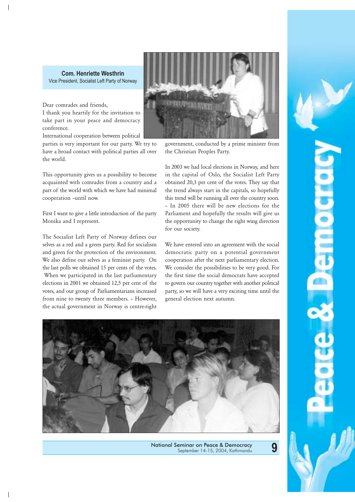**Com. Henriette Westhrin** Vice President, Socialist Left Party of Norway

Dear comrades and friends.

I thank you heartily for the invitation to take part in your peace and democracy conference.

International cooperation between political

parties is very important for our party. We try to have a broad contact with political parties all over the world.

This opportunity gives us a possibility to become acquainted with comrades from a country and a part of the world with which we have had minimal cooperation -until now.

First I want to give a little introduction of the party Monika and I represent.

The Socialist Left Party of Norway defines our selves as a red and a green party. Red for socialism and green for the protection of the environment. We also define our selves as a feminist party. On the last polls we obtained 15 per cents of the votes. When we participated in the last parliamentary elections in 2001 we obtained 12,5 per cent of the votes, and our group of Parliamentarians increased from nine to twenty three members. - However, the actual government in Norway is centre-right



government, conducted by a prime minister from the Christian Peoples Party.

In 2003 we had local elections in Norway, and here in the capital of Oslo, the Socialist Left Party obtained 20,3 per cent of the votes. They say that the trend always start in the capitals, so hopefully this trend will be running all over the country soon. - In 2005 there will be new elections for the Parliament and hopefully the results will give us the opportunity to change the right wing direction for our society.

We have entered into an agreement with the social democratic party on a potential government cooperation after the next parliamentary election. We consider the possibilities to be very good. For the first time the social democrats have accepted to govern our country together with another political party, so we will have a very exciting time until the general election next autumn.



**National Seminar on Peace & Democracy** September 14-15, 2004, Kathmandu

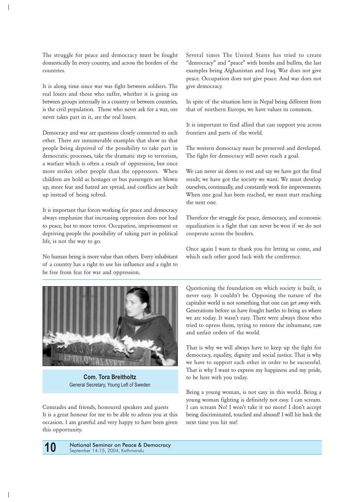The struggle for peace and democracy must be fought domestically In every country, and across the borders of the countries.

It is along time since war was fight between soldiers. The real losers and those who suffer, whether it is going on between groups internally in a country or between countries, is the civil population. Those who never ask for a war, ore never takes part in it, are the real losers.

Democracy and war are questions closely connected to each other. There are innumerable examples that show us that people being deprived of the possibility to take part in democratic processes, take the dramatic step to terrorism, a warfare which is often a result of oppression, but once more strikes other people than the oppressors. When children are hold as hostages or bus passengers are blown up, more fear and hatred are spread, and conflicts are built up instead of being solved.

It is important that forces working for peace and democracy always emphasize that increasing oppression does not lead to peace, but to more terror. Occupation, imprisonment or depriving people the possibility of taking part in political life, is not the way to go.

No human being is more value than others. Every inhabitant of a country has a right to use his influence and a right to be free from fear for war and oppression.

Several times The United States has tried to create "democracy" and "peace" with bombs and bullets, the last examples being Afghanistan and Iraq. War does not give peace. Occupation does not give peace. And war does not give democracy.

In spite of the situation here in Nepal being different from that of northern Europe, we have values in common.

It is important to find allied that can support you across frontiers and parts of the world.

The western democracy must be preserved and developed. The fight for democracy will never reach a goal.

We can never sit down to rest and say we have got the final result; we have got the society we want. We must develop ourselves, continually, and constantly work for improvements. When one goal has been reached, we must start reaching the next one.

Therefore the struggle for peace, democracy, and economic equalization is a fight that can never be won if we do not cooperate across the borders.

Once again I want to thank you for letting us come, and which each other good luck with the conference.



That is why we will always have to keep up the fight for democracy, equality, dignity and social justice. That is why we have to support each other in order to be sucsessful. That is why I want to express my happiness and my pride, to be here with you today.

Being a young woman, is not easy in this world. Being a young woman fighting is definitely not easy. I can scream. I can scream No! I won't take it no more! I don't accept being discriminated, touched and abused! I will hit back the next time you hit me!



**Com. Tora Breitholtz** General Secretary, Young Left of Sweden

Comrades and friends, honoured speakers and guests It is a great honour for me to be able to adress you at this occasion. I am grateful and very happy to have been given this opportunity.

> **National Seminar on Peace & Democracy** September 14-15, 2004, Kathmandu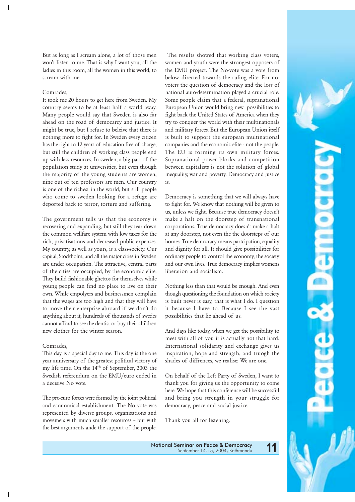But as long as I scream alone, a lot of those men won't listen to me. That is why I want you, all the ladies in this room, all the women in this world, to scream with me.

#### Comrades.

It took me 20 hours to get here from Sweden. My country seems to be at least half a world away. Many people would say that Sweden is also far ahead on the road of democarcy and justice. It might be true, but I refuse to beleive that there is nothing more to fight for. In Sweden every citizen has the right to 12 years of education free of charge, but still the children of working class people end up with less resources. In sweden, a big part of the population study at universities, but even though the majority of the young students are women, nine out of ten professors are men. Our country is one of the richest in the world, but still people who come to sweden looking for a refuge are deported back to terror, torture and suffering.

The government tells us that the economy is recovering and expanding, but still they tear down the common wellfare system with low taxes for the rich, privatisations and decreased public expenses. My country, as well as yours, is a class-society. Our capital, Stockholm, and all the major cities in Sweden are under occupation. The attractive, central parts of the cities are occupied, by the economic elite. They build fashionable ghettos for themselves while young people can find no place to live on their own. While empolyers and businessmen complain that the wages are too high and that they will have to move their enterprise abroard if we don't do anything about it, hundreds of thousands of swedes cannot afford to see the dentist or buy their children new clothes for the winter season.

#### Comrades.

This day is a special day to me. This day is the one year anniversary of the greatest political victory of my life time. On the 14<sup>th</sup> of September, 2003 the Swedish referendum on the EMU/euro ended in a decisive No vote.

The pro-euro forces were formed by the joint political and economical establishment. The No vote was represented by diverse groups, organisations and movemets with much smaller resources - but with the best arguments ande the support of the people.

The results showed that working class voters, women and youth were the strongest opposers of the EMU project. The No-vote was a vote from below, directed towards the ruling elite. For novoters the question of democracy and the loss of national auto-determination played a crucial role. Some people claim that a federal, supranational European Union would bring new possibilities to fight back the United States of America when they try to conquer the world with their multinationals and military forces. But the European Union itself is built to support the european multinational companies and the economic elite - not the people. The EU is forming its own military forces. Supranational power blocks and competition between capitalists is not the solution of global inequality, war and poverty. Democracy and justice is.

Democracy is something that we will always have to fight for. We know that nothing will be given to us, unless we fight. Because true democracy doesn't make a halt on the doorstep of transnational corporations. True democracy doesn't make a halt at any doorstep, not even the the doorsteps of our homes. True democracy means partcipation, equality and dignity for all. It should give possibilities for ordinary people to control the economy, the society and our own lives. True democracy implies womens liberation and socialism.

Nothing less than that would be enough. And even though questioning the foundation on which society is built never is easy, that is what I do. I question it because I have to. Because I see the vast possibilities that lie ahead of us.

And days like today, when we get the possibility to meet with all of you it is actually not that hard. International solidarity and exchange gives us inspiration, hope and strength, and truogh the shades of diffrences, we realise: We are one.

On behalf of the Left Party of Sweden, I want to thank you for giving us the opportunity to come here. We hope that this conference will be successful and bring you strength in your struggle for democracy, peace and social justice.

11

Thank you all for listening.

**National Seminar on Peace & Democracy** September 14-15, 2004, Kathmandu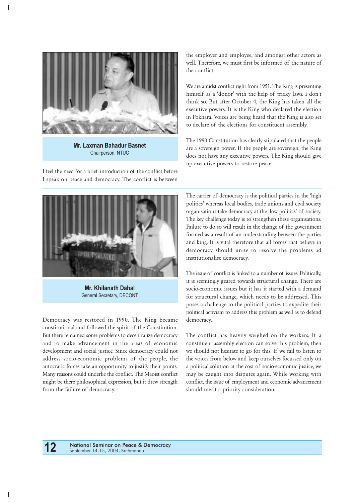

Mr. Laxman Bahadur Basnet Chairperson, NTUC

I feel the need for a brief introduction of the conflict before I speak on peace and democracy. The conflict is between the employer and employee, and amongst other actors as well. Therefore, we must first be informed of the nature of the conflict.

We are amidst conflict right from 1951. The King is presenting himself as a 'donor' with the help of tricky laws. I don't think so. But after October 4, the King has taken all the executive powers. It is the King who declared the election in Pokhara. Voices are being heard that the King is also set to declare of the elections for constituent assembly.

The 1990 Constitution has clearly stipulated that the people are a sovereign power. If the people are sovereign, the King does not have any executive powers. The King should give up executive powers to restore peace.



**Mr. Khilanath Dahal General Secretary, DECONT** 

Democracy was restored in 1990. The King became constitutional and followed the spirit of the Constitution. But there remained some problems to decentralize democracy and to make advancement in the areas of economic development and social justice. Since democracy could not address socio-economic problems of the people, the autocratic forces take an opportunity to justify their points. Many reasons could underlie the conflict. The Maoist conflict might be there philosophical expression, but it drew strength from the failure of democracy.

The carrier of democracy is the political parties in the 'high politics' whereas local bodies, trade unions and civil society organisations take democracy at the 'low politics' of society. The key challenge today is to strengthen these organisations. Failure to do so will result in the change of the government formed as a result of an understanding between the parties and king. It is vital therefore that all forces that believe in democracy should unite to resolve the problems ad institutionalise democracy.

The issue of conflict is linked to a number of issues. Politically, it is seemingly geared towards structural change. There are socio-economic issues but it has it started with a demand for structural change, which needs to be addressed. This poses a challenge to the political parties to expedite their political activism to address this problem as well as to defend democracy.

The conflict has heavily weighed on the workers. If a constituent assembly election can solve this problem, then we should not hesitate to go for this. If we fail to listen to the voices from below and keep ourselves focussed only on a political solution at the cost of socio-economic justice, we may be caught into disputes again. While working with conflict, the issue of employment and economic advancement should merit a priority consideration.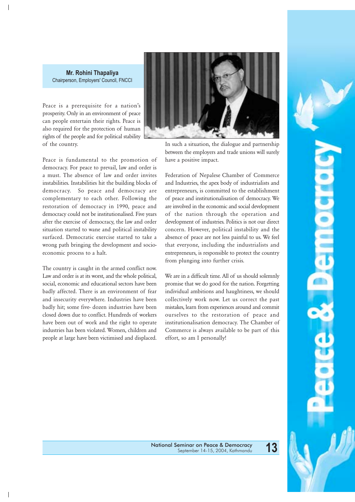Mr. Rohini Thapaliya Chairperson, Employers' Council, FNCCI

Peace is a prerequisite for a nation's prosperity. Only in an environment of peace can people entertain their rights. Peace is also required for the protection of human rights of the people and for political stability of the country.

Peace is fundamental to the promotion of democracy. For peace to prevail, law and order is a must. The absence of law and order invites instabilities. Instabilities hit the building blocks of democracy. So peace and democracy are complementary to each other. Following the restoration of democracy in 1990, peace and democracy could not be institutionalised. Five years after the exercise of democracy, the law and order situation started to wane and political instability surfaced. Democratic exercise started to take a wrong path bringing the development and socioeconomic process to a halt.

The country is caught in the armed conflict now. Law and order is at its worst, and the whole political. social, economic and educational sectors have been badly affected. There is an environment of fear and insecurity everywhere. Industries have been badly hit; some five- dozen industries have been closed down due to conflict. Hundreds of workers have been out of work and the right to operate industries has been violated. Women, children and people at large have been victimised and displaced.



In such a situation, the dialogue and partnership between the employers and trade unions will surely have a positive impact.

Federation of Nepalese Chamber of Commerce and Industries, the apex body of industrialists and entrepreneurs, is committed to the establishment of peace and institutionalisation of democracy. We are involved in the economic and social development of the nation through the operation and development of industries. Politics is not our direct concern. However, political instability and the absence of peace are not less painful to us. We feel that everyone, including the industrialists and entrepreneurs, is responsible to protect the country from plunging into further crisis.

We are in a difficult time. All of us should solemnly promise that we do good for the nation. Forgetting individual ambitions and haughtiness, we should collectively work now. Let us correct the past mistakes, learn from experiences around and commit ourselves to the restoration of peace and institutionalisation democracy. The Chamber of Commerce is always available to be part of this effort, so am I personally!

13

**Complete**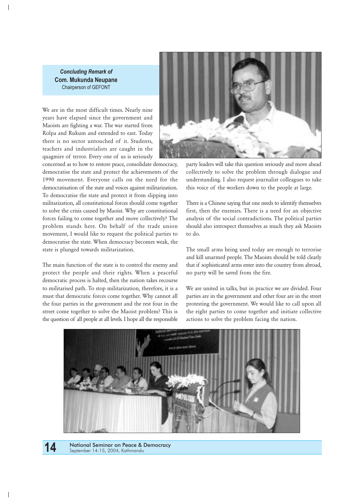**Concluding Remark of Com. Mukunda Neupane** Chairperson of GEFONT

We are in the most difficult times. Nearly nine years have elapsed since the government and Maoists are fighting a war. The war started from Rolpa and Rukum and extended to east. Today there is no sector untouched of it. Students, teachers and industrialists are caught in the quagmire of terror. Every one of us is seriously

concerned as to how to restore peace, consolidate democracy, democratise the state and protect the achievements of the 1990 movement. Everyone calls on the need for the democratisation of the state and voices against militarization. To democratise the state and protect it from slipping into militarization, all constitutional forces should come together to solve the crisis caused by Maoist. Why are constitutional forces failing to come together and move collectively? The problem stands here. On behalf of the trade union movement, I would like to request the political parties to democratise the state. When democracy becomes weak, the state is plunged towards militarization.

The main function of the state is to control the enemy and protect the people and their rights. When a peaceful democratic process is halted, then the nation takes recourse to militarised path. To stop militarization, therefore, it is a must that democratic forces come together. Why cannot all the four parties in the government and the rest four in the street come together to solve the Maoist problem? This is the question of all people at all levels. I hope all the responsible



party leaders will take this question seriously and move ahead collectively to solve the problem through dialogue and understanding. I also request journalist colleagues to take this voice of the workers down to the people at large.

There is a Chinese saying that one needs to identify themselves first, then the enemies. There is a need for an objective analysis of the social contradictions. The political parties should also introspect themselves as much they ask Maoists to do.

The small arms being used today are enough to terrorise and kill unarmed people. The Maoists should be told clearly that if sophisticated arms enter into the country from abroad, no party will be saved from the fire.

We are united in talks, but in practice we are divided. Four parties are in the government and other four are in the street protesting the government. We would like to call upon all the eight parties to come together and initiate collective actions to solve the problem facing the nation.

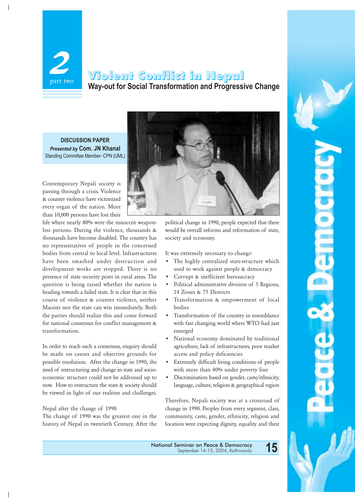

## **Legel1 af tsiltac9 faeleiV** Way-out for Social Transformation and Progressive Change

**DISCUSSION PAPER Presented by Com. JN Khanal** Standing Committee Member- CPN (UML)

Contemporary Nepali society is passing through a crisis. Violence & counter violence have victimized every organ of the nation. More than 10,000 persons have lost their

life where nearly 80% were the innocent weaponless persons. During the violence, thousands & thousands have become disabled. The country has no representatives of people in the concerned bodies from central to local level. Infrastructures have been smashed under destruction and development works are stopped. There is no presence of state security posts in rural areas. The question is being raised whether the nation is heading towards a failed state. It is clear that in this course of violence & counter violence, neither Maoists nor the state can win immediately. Both the parties should realize this and come forward for national consensus for conflict management & transformation.

In order to reach such a consensus, enquiry should be made on causes and objective grounds for possible resolution. After the change in 1990, the need of restructuring and change in state and socioeconomic structure could not be addressed up to now. How to restructure the state & society should be viewed in light of our realities and challenges.

#### Nepal after the change of 1990

The change of 1990 was the greatest one in the history of Nepal in twentieth Century. After the



political change in 1990, people expected that there would be overall reforms and reformation of state, society and economy.

It was extremely necessary to change:

- The highly centralized state-structure which used to work against people & democracy
- Corrupt & inefficient bureaucracy  $\bullet$
- Political administrative division of 5 Regions, 14 Zones & 75 Districts
- Transformation & empowerment of local bodies
- Transformation of the country in resemblance  $\bullet$ with fast changing world where WTO had just emerged
- $\bullet$ National economy dominated by traditional agriculture, lack of infrastructures, poor market access and policy deficiencies
- $\bullet$ Extremely difficult living conditions of people with more than 40% under poverty line
- Discrimination based on gender, caste/ethnicity,  $\bullet$ language, culture, religion & geographical region

Therefore, Nepali society was at a crossroad of change in 1990. Peoples from every segment, class, community, caste, gender, ethnicity, religion and location were expecting dignity, equality and their

15

National Seminar on Peace & Democracy September 14-15, 2004, Kathmandu

 $\frac{1}{2}$ 10142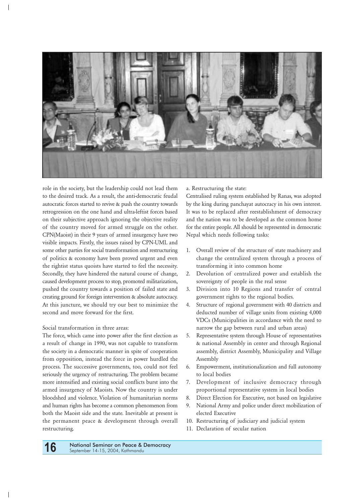

role in the society, but the leadership could not lead them to the desired track. As a result, the anti-democratic feudal autocratic forces started to revive & push the country towards retrogression on the one hand and ultra-leftist forces based on their subjective approach ignoring the objective reality of the country moved for armed struggle on the other. CPN(Maoist) in their 9 years of armed insurgency have two visible impacts. Firstly, the issues raised by CPN-UML and some other parties for social transformation and restructuring of politics & economy have been proved urgent and even the rightist status quoists have started to feel the necessity. Secondly, they have hindered the natural course of change, caused development process to stop, promoted militarization, pushed the country towards a position of failed state and creating ground for foreign intervention & absolute autocracy. At this juncture, we should try our best to minimize the second and move forward for the first.

#### Social transformation in three areas:

16

The force, which came into power after the first election as a result of change in 1990, was not capable to transform the society in a democratic manner in spite of cooperation from opposition, instead the force in power hurdled the process. The successive governments, too, could not feel seriously the urgency of restructuring. The problem became more intensified and existing social conflicts burst into the armed insurgency of Maoists. Now the country is under bloodshed and violence. Violation of humanitarian norms and human rights has become a common phenomenon from both the Maoist side and the state. Inevitable at present is the permanent peace & development through overall restructuring.

#### a. Restructuring the state:

Centralised ruling system established by Ranas, was adopted by the king during panchayat autocracy in his own interest. It was to be replaced after reestablishment of democracy and the nation was to be developed as the common home for the entire people. All should be represented in democratic Nepal which needs following tasks:

- 1. Overall review of the structure of state machinery and change the centralized system through a process of transforming it into common home
- 2. Devolution of centralized power and establish the sovereignty of people in the real sense
- Division into 10 Regions and transfer of central 3. government rights to the regional bodies.
- $4.$ Structure of regional government with 40 districts and deducted number of village units from existing 4,000 VDCs (Municipalities in accordance with the need to narrow the gap between rural and urban areas)
- 5. Representative system through House of representatives & national Assembly in center and through Regional assembly, district Assembly, Municipality and Village Assembly
- 6. Empowerment, institutionalization and full autonomy to local bodies
- Development of inclusive democracy through 7. proportional representative system in local bodies
- 8. Direct Election for Executive, not based on legislative
- National Army and police under direct mobilization of 9. elected Executive
- 10. Restructuring of judiciary and judicial system
- 11. Declaration of secular nation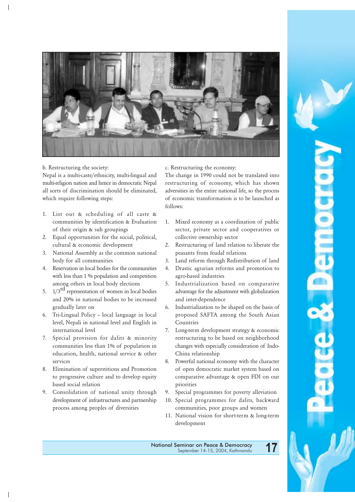

b. Restructuring the society:

Nepal is a multi-caste/ethnicity, multi-lingual and multi-religion nation and hence in democratic Nepal all sorts of discrimination should be eliminated, which require following steps:

- 1. List out & scheduling of all caste & communities by identification & Evaluation of their origin & sub groupings
- 2. Equal opportunities for the social, political, cultural & economic development
- 3. National Assembly as the common national body for all communities
- 4. Reservation in local bodies for the communities with less than 1 % population and competition among others in local body elections
- 5.  $1/3^{rd}$  representation of women in local bodies and 20% in national bodies to be increased gradually later on
- 6. Tri-Lingual Policy local language in local level, Nepali in national level and English in international level
- 7. Special provision for dalits & minority communities less than 1% of population in education, health, national service & other services
- 8. Elimination of superstitions and Promotion to progressive culture and to develop equity based social relation
- 9. Consolidation of national unity through development of infrastructures and partnership process among peoples of diversities

c. Restructuring the economy:

The change in 1990 could not be translated into restructuring of economy, which has shown adversities in the entire national life, so the process of economic transformation is to be launched as  $follows$ 

 $1.$ Mixed economy as a coordination of public sector, private sector and cooperatives or collective ownership sector

**Columns** 

**Toleta Mal** 

- 2. Restructuring of land relation to liberate the peasants from feudal relations
- Land reform through Redistribution of land 3.
- Drastic agrarian reforms and promotion to 4. agro-based industries
- Industrialization based on comparative 5. advantage for the adjustment with globalization and inter-dependence
- 6. Industrialization to be shaped on the basis of proposed SAFTA among the South Asian Countries
- 7. Long-term development strategy & economic restructuring to be based on neighborhood changes with especially consideration of Indo-China relationship
- 8. Powerful national economy with the character of open democratic market system based on comparative advantage & open FDI on our priorities
- 9. Special programmes for poverty alleviation
- 10. Special programmes for dalits, backward communities, poor groups and women
- 11. National vision for short-term & long-term development

17

**National Seminar on Peace & Democracy** September 14-15, 2004, Kathmandu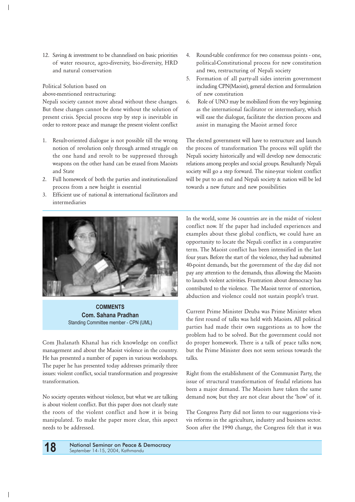12. Saving & investment to be channelised on basic priorities of water resource, agro-diversity, bio-diversity, HRD and natural conservation

Political Solution based on

above-mentioned restructuring:

Nepali society cannot move ahead without these changes. But these changes cannot be done without the solution of present crisis. Special process step by step is inevitable in order to restore peace and manage the present violent conflict

- 1. Result-oriented dialogue is not possible till the wrong notion of revolution only through armed struggle on the one hand and revolt to be suppressed through weapons on the other hand can be erased from Maoists and State
- 2. Full homework of both the parties and institutionalized process from a new height is essential
- 3. Efficient use of national & international facilitators and intermediaries
- Round-table conference for two consensus points one, 4. political-Constitutional process for new constitution and two, restructuring of Nepali society
- 5. Formation of all party-all sides interim government including CPN(Maoist), general election and formulation of new constitution
- 6. Role of UNO may be mobilized from the very beginning as the international facilitator or intermediary, which will ease the dialogue, facilitate the election process and assist in managing the Maoist armed force

The elected government will have to restructure and launch the process of transformation The process will uplift the Nepali society historically and will develop new democratic relations among peoples and social groups. Resultantly Nepali society will go a step forward. The nine-year violent conflict will be put to an end and Nepali society & nation will be led towards a new future and new possibilities



**COMMENTS Com. Sahana Pradhan** Standing Committee member - CPN (UML)

Com Jhalanath Khanal has rich knowledge on conflict management and about the Maoist violence in the country. He has presented a number of papers in various workshops. The paper he has presented today addresses primarily three issues: violent conflict, social transformation and progressive transformation.

No society operates without violence, but what we are talking is about violent conflict. But this paper does not clearly state the roots of the violent conflict and how it is being manipulated. To make the paper more clear, this aspect needs to be addressed.

In the world, some 36 countries are in the midst of violent conflict now. If the paper had included experiences and examples about these global conflicts, we could have an opportunity to locate the Nepali conflict in a comparative term. The Maoist conflict has been intensified in the last four years. Before the start of the violence, they had submitted 40-point demands, but the government of the day did not pay any attention to the demands, thus allowing the Maoists to launch violent activities. Frustration about democracy has contributed to the violence. The Maoist terror of extortion, abduction and violence could not sustain people's trust.

Current Prime Minister Deuba was Prime Minister when the first round of talks was held with Maoists. All political parties had made their own suggestions as to how the problem had to be solved. But the government could not do proper homework. There is a talk of peace talks now, but the Prime Minister does not seem serious towards the talks.

Right from the establishment of the Communist Party, the issue of structural transformation of feudal relations has been a major demand. The Maoists have taken the same demand now, but they are not clear about the 'how' of it.

The Congress Party did not listen to our suggestions vis-àvis reforms in the agriculture, industry and business sector. Soon after the 1990 change, the Congress felt that it was

**National Seminar on Peace & Democracy** September 14-15, 2004, Kathmandu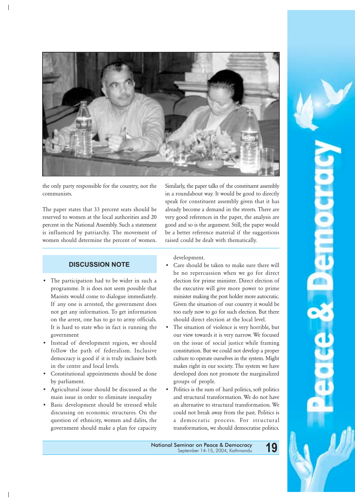

the only party responsible for the country, not the communists.

The paper states that 33 percent seats should be reserved to women at the local authorities and 20 percent in the National Assembly. Such a statement is influenced by patriarchy. The movement of women should determine the percent of women.

Similarly, the paper talks of the constituent assembly in a roundabout way. It would be good to directly speak for constituent assembly given that it has already become a demand in the streets. There are very good references in the paper, the analysis are good and so is the argument. Still, the paper would be a better reference material if the suggestions raised could be dealt with thematically.

### **DISCUSSION NOTE**

- The participation had to be wider in such a programme. It is does not seem possible that Maoists would come to dialogue immediately. If any one is arrested, the government does not get any information. To get information on the arrest, one has to go to army officials. It is hard to state who in fact is running the government
- · Instead of development region, we should follow the path of federalism. Inclusive democracy is good if it is truly inclusive both in the centre and local levels.
- Constitutional appointments should be done by parliament.
- Agricultural issue should be discussed as the main issue in order to eliminate inequality
- · Basic development should be stressed while discussing on economic structures. On the question of ethnicity, women and dalits, the government should make a plan for capacity

development.

- Care should be taken to make sure there will be no repercussion when we go for direct election for prime minister. Direct election of the executive will give more power to prime minister making the post holder more autocratic. Given the situation of our country it would be too early now to go for such election. But there should direct election at the local level.
- The situation of violence is very horrible, but our view towards it is very narrow. We focused on the issue of social justice while framing constitution. But we could not develop a proper culture to operate ourselves in the system. Might makes right in our society. The system we have developed does not promote the marginalized groups of people.
- Politics is the sum of hard politics, soft politics and structural transformation. We do not have an alternative to structural transformation. We could not break away from the past. Politics is a democratic process. For structural transformation, we should democratise politics.

19



**Cole Le Le Luis Alcald**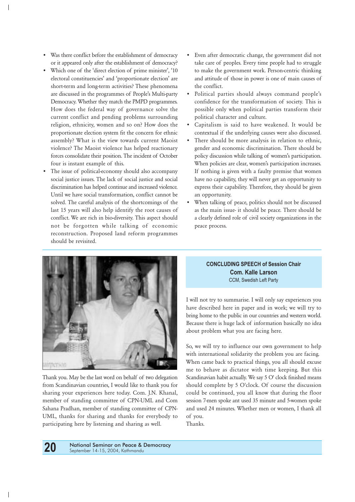- Was there conflict before the establishment of democracy or it appeared only after the establishment of democracy?
- Which one of the 'direct election of prime minister', '10 electoral constituencies' and 'proportionate election' are short-term and long-term activities? These phenomena are discussed in the programmes of People's Multi-party Democracy. Whether they match the PMPD programmes. How does the federal way of governance solve the current conflict and pending problems surrounding religion, ethnicity, women and so on? How does the proportionate election system fit the concern for ethnic assembly? What is the view towards current Maoist violence? The Maoist violence has helped reactionary forces consolidate their position. The incident of October four is instant example of this.
- The issue of political-economy should also accompany social justice issues. The lack of social justice and social discrimination has helped continue and increased violence. Until we have social transformation, conflict cannot be solved. The careful analysis of the shortcomings of the last 15 years will also help identify the root causes of conflict. We are rich in bio-diversity. This aspect should not be forgotten while talking of economic reconstruction. Proposed land reform programmes should be revisited.
- Even after democratic change, the government did not take care of peoples. Every time people had to struggle to make the government work. Person-centric thinking and attitude of those in power is one of main causes of the conflict.
- Political parties should always command people's confidence for the transformation of society. This is possible only when political parties transform their political character and culture.
- Capitalism is said to have weakened. It would be contextual if the underlying causes were also discussed.
- There should be more analysis in relation to ethnic,  $\bullet$ gender and economic discrimination. There should be policy discussion while talking of women's participation. When policies are clear, women's participation increases. If nothing is given with a faulty premise that women have no capability, they will never get an opportunity to express their capability. Therefore, they should be given an opportunity.
- When talking of peace, politics should not be discussed as the main issue- it should be peace. There should be a clearly defined role of civil society organizations in the peace process.



Thank you. May be the last word on behalf of two delegation from Scandinavian countries, I would like to thank you for sharing your experiences here today. Com. J.N. Khanal, member of standing committee of CPN-UML and Com Sahana Pradhan, member of standing committee of CPN-UML, thanks for sharing and thanks for everybody to participating here by listening and sharing as well.

#### **CONCLUDING SPEECH of Session Chair Com. Kalle Larson** CCM, Swedish Left Party

I will not try to summarise. I will only say experiences you have described here in paper and in work; we will try to bring home to the public in our countries and western world. Because there is huge lack of information basically no idea about problem what you are facing here.

So, we will try to influence our own government to help with international solidarity the problem you are facing. When came back to practical things, you all should excuse me to behave as dictator with time keeping. But this Scandinavian habit actually. We say 5 O' clock finished means should complete by 5 O'clock. Of course the discussion could be continued, you all know that during the floor session 7-men spoke ant used 35 minute and 5-women spoke and used 24 minutes. Whether men or women, I thank all of you. Thanks.

**National Seminar on Peace & Democracy** September 14-15, 2004, Kathmandu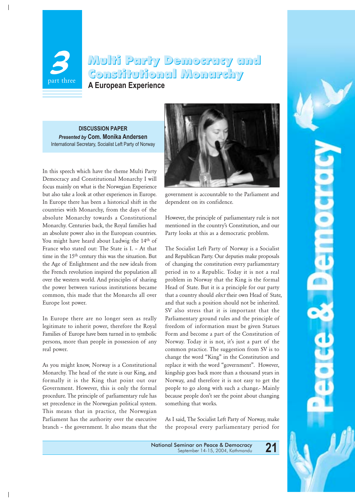## **Mulli Party Democracy and VIELERICAL LEGECTERITS A European Experience**

**DISCUSSION PAPER Presented by Com. Monika Andersen** International Secretary, Socialist Left Party of Norway

part three

In this speech which have the theme Multi Party Democracy and Constitutional Monarchy I will focus mainly on what is the Norwegian Experience but also take a look at other experiences in Europe. In Europe there has been a historical shift in the countries with Monarchy, from the days of the absolute Monarchy towards a Constitutional Monarchy. Centuries back, the Royal families had an absolute power also in the European countries. You might have heard about Ludwig the 14th of France who stated out: The State is I. - At that time in the 15<sup>th</sup> century this was the situation. But the Age of Enlightment and the new ideals from the French revolution inspired the population all over the western world. And principles of sharing the power between various institutions became common, this made that the Monarchs all over Europe lost power.

In Europe there are no longer seen as really legitimate to inherit power, therefore the Royal Families of Europe have been turned in to symbolic persons, more than people in possession of any real power.

As you might know, Norway is a Constitutional Monarchy. The head of the state is our King, and formally it is the King that point out our Government. However, this is only the formal procedure. The principle of parliamentary rule has set precedence in the Norwegian political system. This means that in practice, the Norwegian Parliament has the authority over the executive branch - the government. It also means that the



government is accountable to the Parliament and dependent on its confidence.

However, the principle of parliamentary rule is not mentioned in the country's Constitution, and our Party looks at this as a democratic problem.

The Socialist Left Party of Norway is a Socialist and Republican Party. Our deputies make proposals of changing the constitution every parliamentary period in to a Republic. Today it is not a real problem in Norway that the King is the formal Head of State. But it is a principle for our party that a country should elect their own Head of State, and that such a position should not be inherited. SV also stress that it is important that the Parliamentary ground rules and the principle of freedom of information must be given Statues Form and become a part of the Constitution of Norway. Today it is not, it's just a part of the common practice. The suggestion from SV is to change the word "King" in the Constitution and replace it with the word "government". However, kingship goes back more than a thousand years in Norway, and therefore it is not easy to get the people to go along with such a change.- Mainly because people don't see the point about changing something that works.

As I said, The Socialist Left Party of Norway, make the proposal every parliamentary period for delente dele  $\frac{1}{2}$ 

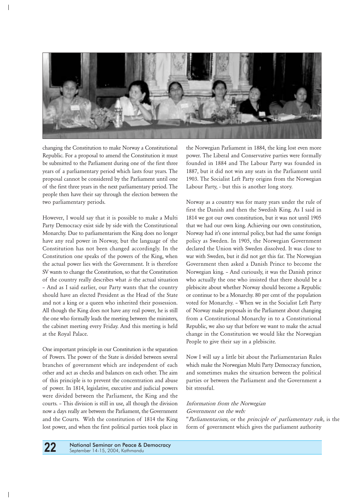

changing the Constitution to make Norway a Constitutional Republic. For a proposal to amend the Constitution it must be submitted to the Parliament during one of the first three years of a parliamentary period which lasts four years. The proposal cannot be considered by the Parliament until one of the first three years in the next parliamentary period. The people then have their say through the election between the two parliamentary periods.

However, I would say that it is possible to make a Multi Party Democracy exist side by side with the Constitutional Monarchy. Due to parliamentarism the King does no longer have any real power in Norway, but the language of the Constitution has not been changed accordingly. In the Constitution one speaks of the powers of the King, when the actual power lies with the Government. It is therefore SV wants to change the Constitution, so that the Constitution of the country really describes what is the actual situation - And as I said earlier, our Party wants that the country should have an elected President as the Head of the State and not a king or a queen who inherited their possession. All though the King does not have any real power, he is still the one who formally leads the meeting between the ministers, the cabinet meeting every Friday. And this meeting is held at the Royal Palace.

One important principle in our Constitution is the separation of Powers. The power of the State is divided between several branches of government which are independent of each other and act as checks and balances on each other. The aim of this principle is to prevent the concentration and abuse of power. In 1814, legislative, executive and judicial powers were divided between the Parliament, the King and the courts. - This division is still in use, all though the division now a days really are between the Parliament, the Government and the Courts. With the constitution of 1814 the King lost power, and when the first political parties took place in

the Norwegian Parliament in 1884, the king lost even more power. The Liberal and Conservative parties were formally founded in 1884 and The Labour Party was founded in 1887, but it did not win any seats in the Parliament until 1903. The Socialist Left Party origins from the Norwegian Labour Party, - but this is another long story.

Norway as a country was for many years under the rule of first the Danish and then the Swedish King. As I said in 1814 we got our own constitution, but it was not until 1905 that we had our own king. Achieving our own constitution, Norway had it's one internal policy, but had the same foreign policy as Sweden. In 1905, the Norwegian Government declared the Union with Sweden dissolved. It was close to war with Sweden, but it did not get this far. The Norwegian Government then asked a Danish Prince to become the Norwegian king. - And curiously, it was the Danish prince who actually the one who insisted that there should be a plebiscite about whether Norway should become a Republic or continue to be a Monarchy. 80 per cent of the population voted for Monarchy. - When we in the Socialist Left Party of Norway make proposals in the Parliament about changing from a Constitutional Monarchy in to a Constitutional Republic, we also say that before we want to make the actual change in the Constitution we would like the Norwegian People to give their say in a plebiscite.

Now I will say a little bit about the Parliamentarian Rules which make the Norwegian Multi Party Democracy function, and sometimes makes the situation between the political parties or between the Parliament and the Government a bit stressful.

#### Information from the Norwegian Government on the web:

"Parliamentarism, or the principle of parliamentary rule, is the form of government which gives the parliament authority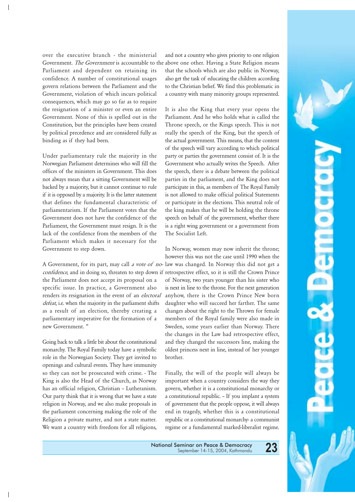over the executive branch - the ministerial Government. *The Government* is accountable to the above one other. Having a State Religion means

Parliament and dependent on retaining its confidence. A number of constitutional usages govern relations between the Parliament and the Government, violation of which incurs political consequences, which may go so far as to require the resignation of a minister or even an entire Government. None of this is spelled out in the Constitution, but the principles have been created by political precedence and are considered fully as binding as if they had been.

Under parliamentary rule the majority in the Norwegian Parliament determines who will fill the offices of the ministers in Government. This does not always mean that a sitting Government will be backed by a majority, but it cannot continue to rule if it is opposed by a majority. It is the latter statement that defines the fundamental characteristic of parliamentarism. If the Parliament votes that the Government does not have the confidence of the Parliament, the Government must resign. It is the lack of the confidence from the members of the Parliament which makes it necessary for the Government to step down.

A Government, for its part, may call a vote of no- law was changed. In Norway this did not get a confidence, and in doing so, threaten to step down if retrospective effect, so it is still the Crown Prince the Parliament does not accept its proposal on a specific issue. In practice, a Government also renders its resignation in the event of an electoral defeat, i.e. when the majority in the parliament shifts as a result of an election, thereby creating a parliamentary imperative for the formation of a new Government. "

Going back to talk a little bit about the constitutional monarchy. The Royal Family today have a symbolic role in the Norwegian Society. They get invited to openings and cultural events. They have immunity so they can not be prosecuted with crime. - The King is also the Head of the Church, as Norway has an official religion, Christian - Lutheranism. Our party think that it is wrong that we have a state religion in Norway, and we also make proposals in the parliament concerning making the role of the Religion a private matter, and not a state matter. We want a country with freedom for all religions,

that the schools which are also public in Norway, also get the task of educating the children according to the Christian belief. We find this problematic in a country with many minority groups represented.

and not a country who gives priority to one religion

It is also the King that every year opens the Parliament. And he who holds what is called the Throne speech, or the Kings speech. This is not really the speech of the King, but the speech of the actual government. This means, that the content of the speech will vary according to which political party or parties the government consist of. It is the Government who actually writes the Speech. After the speech, there is a debate between the political parties in the parliament, and the King does not participate in this, as members of The Royal Family is not allowed to make official political Statements or participate in the elections. This neutral role of the king makes that he will be holding the throne speech on behalf of the government, whether there is a right wing government or a government from The Socialist Left.

In Norway, women may now inherit the throne; however this was not the case until 1990 when the of Norway, two years younger than his sister who is next in line to the throne. For the next generation anyhow, there is the Crown Prince New born daughter who will succeed her farther. The same changes about the right to the Thrown for female members of the Royal family were also made in Sweden, some years earlier than Norway. There the changes in the Law had retrospective effect, and they changed the successors line, making the oldest princess next in line, instead of her younger brother.

Finally, the will of the people will always be important when a country considers the way they govern, whether it is a constitutional monarchy or a constitutional republic. - If you implant a system of government that the people oppose, it will always end in tragedy, whether this is a constitutional republic or a constitutional monarchy- a communist regime or a fundamental marked-liberalist regime.



**Condicions**  $10(42)$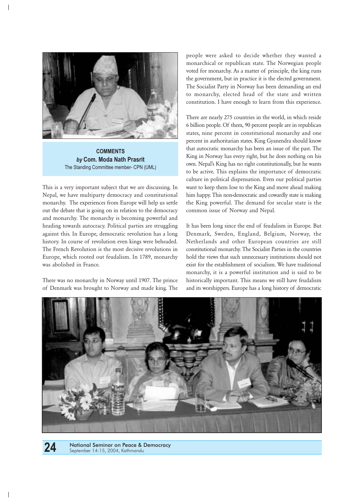

**COMMENTS** by Com. Moda Nath Prasrit The Standing Committee member- CPN (UML)

This is a very important subject that we are discussing. In Nepal, we have multiparty democracy and constitutional monarchy. The experiences from Europe will help us settle out the debate that is going on in relation to the democracy and monarchy. The monarchy is becoming powerful and heading towards autocracy. Political parties are struggling against this. In Europe, democratic revolution has a long history. In course of revolution even kings were beheaded. The French Revolution is the most decisive revolutions in Europe, which rooted out feudalism. In 1789, monarchy was abolished in France.

There was no monarchy in Norway until 1907. The prince of Denmark was brought to Norway and made king. The

people were asked to decide whether they wanted a monarchical or republican state. The Norwegian people voted for monarchy. As a matter of principle, the king runs the government, but in practice it is the elected government. The Socialist Party in Norway has been demanding an end to monarchy, elected head of the state and written constitution. I have enough to learn from this experience.

There are nearly 275 countries in the world, in which reside 6 billion people. Of them, 90 percent people are in republican states, nine percent in constitutional monarchy and one percent in authoritarian states. King Gyanendra should know that autocratic monarchy has been an issue of the past. The King in Norway has every right, but he does nothing on his own. Nepal's King has no right constitutionally, but he wants to be active. This explains the importance of democratic culture in political dispensation. Even our political parties want to keep them lose to the King and move ahead making him happy. This non-democratic and cowardly state is making the King powerful. The demand for secular state is the common issue of Norway and Nepal.

It has been long since the end of feudalism in Europe. But Denmark, Sweden, England, Belgium, Norway, the Netherlands and other European countries are still constitutional monarchy. The Socialist Parties in the countries hold the views that such unnecessary institutions should not exist for the establishment of socialism. We have traditional monarchy, it is a powerful institution and is said to be historically important. This means we still have feudalism and its worshippers. Europe has a long history of democratic

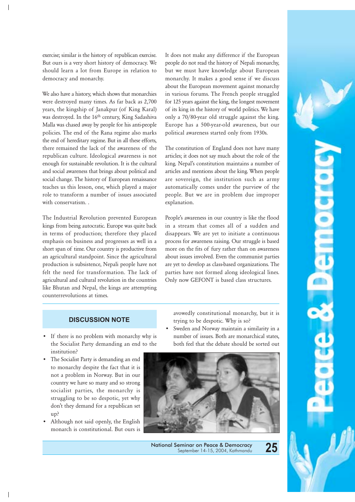exercise; similar is the history of republican exercise. But ours is a very short history of democracy. We should learn a lot from Europe in relation to democracy and monarchy.

We also have a history, which shows that monarchies were destroyed many times. As far back as 2,700 years, the kingship of Janakpur (of King Karal) was destroyed. In the 16th century, King Sadashiva Malla was chased away by people for his anti-people policies. The end of the Rana regime also marks the end of hereditary regime. But in all these efforts, there remained the lack of the awareness of the republican culture. Ideological awareness is not enough for sustainable revolution. It is the cultural and social awareness that brings about political and social change. The history of European renaissance teaches us this lesson, one, which played a major role to transform a number of issues associated with conservatism..

The Industrial Revolution prevented European kings from being autocratic. Europe was quite back in terms of production; therefore they placed emphasis on business and progresses as well in a short span of time. Our country is productive from an agricultural standpoint. Since the agricultural production is subsistence, Nepali people have not felt the need for transformation. The lack of agricultural and cultural revolution in the countries like Bhutan and Nepal, the kings are attempting counterrevolutions at times.

It does not make any difference if the European people do not read the history of Nepali monarchy, but we must have knowledge about European monarchy. It makes a good sense if we discuss about the European movement against monarchy in various forums. The French people struggled for 125 years against the king, the longest movement of its king in the history of world politics. We have only a 70/80-year old struggle against the king. Europe has a 500-year-old awareness, but our political awareness started only from 1930s.

The constitution of England does not have many articles; it does not say much about the role of the king. Nepal's constitution maintains a number of articles and mentions about the king. When people are sovereign, the institution such as army automatically comes under the purview of the people. But we are in problem due improper explanation.

People's awareness in our country is like the flood in a stream that comes all of a sudden and disappears. We are yet to initiate a continuous process for awareness raising. Our struggle is based more on the fits of fury rather than on awareness about issues involved. Even the communist parties are yet to develop as class-based organizations. The parties have not formed along ideological lines. Only now GEFONT is based class structures.

#### **DISCUSSION NOTE**

- If there is no problem with monarchy why is the Socialist Party demanding an end to the institution?
- The Socialist Party is demanding an end to monarchy despite the fact that it is not a problem in Norway. But in our country we have so many and so strong socialist parties, the monarchy is struggling to be so despotic, yet why don't they demand for a republican set  $up?$
- Although not said openly, the English monarch is constitutional. But ours is

avowedly constitutional monarchy, but it is trying to be despotic. Why is so?

Sweden and Norway maintain a similarity in a number of issues. Both are monarchical states. both feel that the debate should be sorted out



**National Seminar on Peace & Democracy** September 14-15, 2004, Kathmandu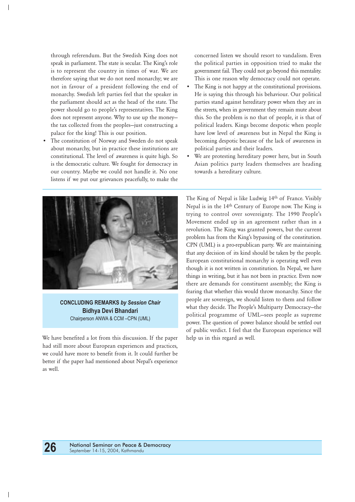through referendum. But the Swedish King does not speak in parliament. The state is secular. The King's role is to represent the country in times of war. We are therefore saying that we do not need monarchy; we are not in favour of a president following the end of monarchy. Swedish left parties feel that the speaker in the parliament should act as the head of the state. The power should go to people's representatives. The King does not represent anyone. Why to use up the moneythe tax collected from the peoples-just constructing a palace for the king! This is our position.

The constitution of Norway and Sweden do not speak about monarchy, but in practice these institutions are constitutional. The level of awareness is quite high. So is the democratic culture. We fought for democracy in our country. Maybe we could not handle it. No one listens if we put our grievances peacefully, to make the concerned listen we should resort to vandalism. Even the political parties in opposition tried to make the government fail. They could not go beyond this mentality. This is one reason why democracy could not operate.

- The King is not happy at the constitutional provisions. He is saying this through his behaviour. Our political parties stand against hereditary power when they are in the streets, when in government they remain mute about this. So the problem is no that of people, it is that of political leaders. Kings become despotic when people have low level of awareness but in Nepal the King is becoming despotic because of the lack of awareness in political parties and their leaders.
- We are protesting hereditary power here, but in South Asian politics party leaders themselves are heading towards a hereditary culture.



**CONCLUDING REMARKS by Session Chair Bidhya Devi Bhandari** Chairperson ANWA & CCM-CPN (UML)

We have benefited a lot from this discussion. If the paper had still more about European experiences and practices, we could have more to benefit from it. It could further be better if the paper had mentioned about Nepal's experience as well.

The King of Nepal is like Ludwig 14th of France. Visibly Nepal is in the 14<sup>th</sup> Century of Europe now. The King is trying to control over sovereignty. The 1990 People's Movement ended up in an agreement rather than in a revolution. The King was granted powers, but the current problem has from the King's bypassing of the constitution. CPN (UML) is a pro-republican party. We are maintaining that any decision of its kind should be taken by the people. European constitutional monarchy is operating well even though it is not written in constitution. In Nepal, we have things in writing, but it has not been in practice. Even now there are demands for constituent assembly; the King is fearing that whether this would throw monarchy. Since the people are sovereign, we should listen to them and follow what they decide. The People's Multiparty Democracy-the political programme of UML-sees people as supreme power. The question of power balance should be settled out of public verdict. I feel that the European experience will help us in this regard as well.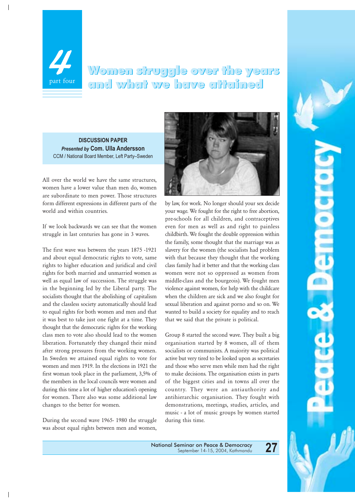

# **Women struggle over the years** beatisffs evisd ew fisdw bar

**DISCUSSION PAPER Presented by Com. Ulla Andersson** CCM / National Board Member, Left Party-Sweden

All over the world we have the same structures, women have a lower value than men do, women are subordinate to men power. Those structures form different expressions in different parts of the world and within countries.

If we look backwards we can see that the women struggle in last centuries has gone in 3 waves.

The first wave was between the years 1875 -1921 and about equal democratic rights to vote, same rights to higher education and juridical and civil rights for both married and unmarried women as well as equal law of succession. The struggle was in the beginning led by the Liberal party. The socialists thought that the abolishing of capitalism and the classless society automatically should lead to equal rights for both women and men and that it was best to take just one fight at a time. They thought that the democratic rights for the working class men to vote also should lead to the women liberation. Fortunately they changed their mind after strong pressures from the working women. In Sweden we attained equal rights to vote for women and men 1919. In the elections in 1921 the first woman took place in the parliament, 3,5% of the members in the local councils were women and during this time a lot of higher education's opening for women. There also was some additional law changes to the better for women.

During the second wave 1965-1980 the struggle was about equal rights between men and women,



by law, for work. No longer should your sex decide your wage. We fought for the right to free abortion, pre-schools for all children, and contraceptives even for men as well as and right to painless childbirth. We fought the double oppression within the family, some thought that the marriage was as slavery for the women (the socialists had problem with that because they thought that the working class family had it better and that the working class women were not so oppressed as women from middle-class and the bourgeois). We fought men violence against women, for help with the childcare when the children are sick and we also fought for sexual liberation and against porno and so on. We wanted to build a society for equality and to reach that we said that the private is political.

Group 8 started the second wave. They built a big organisation started by 8 women, all of them socialists or communists. A majority was political active but very tired to be looked upon as secretaries and those who serve men while men had the right to make decisions. The organisation exists in parts of the biggest cities and in towns all over the country. They were an antiauthority and antihierarchic organisation. They fought with demonstrations, meetings, studies, articles, and music - a lot of music groups by women started during this time.

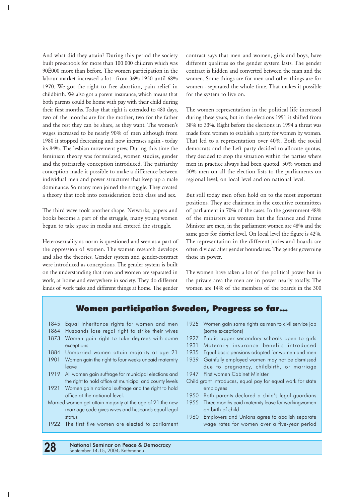And what did they attain? During this period the society built pre-schools for more than 100 000 children which was 90Ê000 more than before. The women participation in the labour market increased a lot - from 36% 1950 until 68% 1970. We got the right to free abortion, pain relief in childbirth. We also got a parent insurance, which means that both parents could be home with pay with their child during their first months. Today that right is extended to 480 days, two of the months are for the mother, two for the father and the rest they can be share, as they want. The women's wages increased to be nearly 90% of men although from 1980 it stopped decreasing and now increases again - today its 84%. The lesbian movement grew. During this time the feminism theory was formulated, women studies, gender and the patriarchy conception introduced. The patriarchy conception made it possible to make a difference between individual men and power structures that keep up a male dominance. So many men joined the struggle. They created a theory that took into consideration both class and sex.

The third wave took another shape. Networks, papers and books become a part of the struggle, many young women begun to take space in media and entered the struggle.

Heterosexuality as norm is questioned and seen as a part of the oppression of women. The women research develops and also the theories. Gender system and gender-contract were introduced as conceptions. The gender system is built on the understanding that men and women are separated in work, at home and everywhere in society. They do different kinds of work tasks and different things at home. The gender

contract says that men and women, girls and boys, have different qualities so the gender system lasts. The gender contract is hidden and converted between the man and the women. Some things are for men and other things are for women - separated the whole time. That makes it possible for the system to live on.

The women representation in the political life increased during these years, but in the elections 1991 it shifted from 38% to 33%. Right before the elections in 1994 a threat was made from women to establish a party for women by women. That led to a representation over 40%. Both the social democrats and the Left party decided to allocate quotas, they decided to stop the situation within the parties where men in practice always had been quoted. 50% women and 50% men on all the election lists to the parliaments on regional level, on local level and on national level.

But still today men often hold on to the most important positions. They are chairmen in the executive committees of parliament in 70% of the cases. In the government 48% of the ministers are women but the finance and Prime Minister are men, in the parliament women are 48% and the same goes for district level. On local level the figure is 42%. The representation in the different juries and boards are often divided after gender boundaries. The gender governing those in power.

The women have taken a lot of the political power but in the private area the men are in power nearly totally. The women are 14% of the members of the boards in the 300

## Women participation Sweden, Progress so far...

- 1845 Equal inheritance rights for women and men
- 1864 Husbands lose regal right to strike their wives
- 1873 Women gain right to take degrees with some exceptions
- 1884 Unmarried women attain majority at age 21
- 1901 Women gain the right to four weeks unpaid maternity legye
- 1919 All women gain suffrage for municipal elections and the right to hold office at municipal and county levels
- 1921 Women gain national suffrage and the right to hold office at the national level.
- Married women get attain majority at the age of 21, the new marriage code gives wives and husbands equal legal status
- 1922 The first five women are elected to parliament
- 1925 Women gain same rights as men to civil service job (some exceptions)
- 1927 Public upper secondary schools open to girls
- 1931 Maternity insurance benefits introduced
- 1935 Equal basic pensions adopted for women and men
- Gainfully employed women may not be dismissed 1939 due to pregnancy, childbirth, or marriage
- 1947 First women Cabinet Minister
- Child grant introduces, equal pay for equal work for state employees
- 1950 Both parents declared a child's legal guardians
- 1955 Three months paid maternity leave for workingwomen on birth of child
- 1960 Employers and Unions agree to abolish separate wage rates for women over a five-year period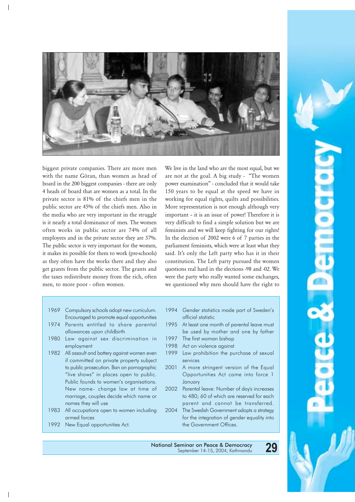

biggest private companies. There are more men with the name Göran, than women as head of board in the 200 biggest companies - there are only 4 heads of board that are women as a total. In the private sector is 81% of the chiefs men in the public sector are 45% of the chiefs men. Also in the media who are very important in the struggle is it nearly a total dominance of men. The women often works in public sector are 74% of all employees and in the private sector they are 37%. The public sector is very important for the women, it makes its possible for them to work (pre-schools) as they often have the works there and they also get grants from the public sector. The grants and the taxes redistribute money from the rich, often men, to more poor - often women.

We live in the land who are the most equal, but we are not at the goal. A big study - "The women power examination" - concluded that it would take 150 years to be equal at the speed we have in working for equal rights, quilts and possibilities. More representation is not enough although very important - it is an issue of power! Therefore it is very difficult to find a simple solution but we are feminists and we will keep fighting for our rights! In the election of 2002 were 6 of 7 parties in the parliament feminists, which were at least what they said. It's only the Left party who has it in their constitution. The Left party pursued the women questions real hard in the elections -98 and -02. We were the party who really wanted some exchanges, we questioned why men should have the right to

- 1969 Compulsory schools adopt new curriculum. Encouraged to promote equal opportunities
- 1974 Parents entitled to share parental allowances upon childbirth
- 1980 Law against sex discrimination in employment
- 1982 All assault and battery against women even if committed on private property subject to public prosecution. Ban on pornographic "live shows" in places open to public. Public founds to women's organisations. New name- change law at time of marriage, couples decide which name or names they will use
- 1983 All occupations open to women including armed forces
- 1992 New Equal opportunities Act.
- 1994 Gender statistics made part of Sweden's official statistic
- 1995 At least one month of parental leave must be used by mother and one by father
- 1997 The first woman bishop
- 1998 Act on violence against
- 1999 Law prohibition the purchase of sexual services
- 2001 A more stringent version of the Equal Opportunities Act came into force 1 January
- 2002 Parental leave: Number of day's increases to 480; 60 of which are reserved for each parent and cannot be transferred.
- 2004 The Swedish Government adopts a strategy for the integration of gender equality into the Government Offices.

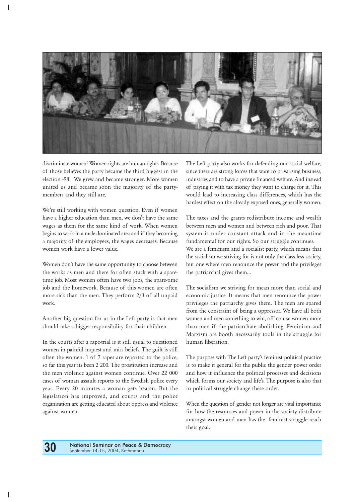

discriminate women? Women rights are human rights. Because of those believes the party became the third biggest in the election -98. We grew and became stronger. More women united us and became soon the majority of the partymembers and they still are.

We're still working with women question. Even if women have a higher education than men, we don't have the same wages as them for the same kind of work. When women begins to work in a male dominated area and if they becoming a majority of the employees, the wages decreases. Because women work have a lower value.

Women don't have the same opportunity to choose between the works as men and there for often stuck with a sparetime job. Most women often have two jobs, the spare-time job and the homework. Because of this women are often more sick than the men. They perform 2/3 of all unpaid work.

Another big question for us in the Left party is that men should take a bigger responsibility for their children.

In the courts after a rape-trial is it still usual to questioned women in painful inquest and miss beliefs. The guilt is still often the women. 1 of 7 rapes are reported to the police, so far this year its been 2 200. The prostitution increase and the men violence against women continue. Over 22 000 cases of woman assault reports to the Swedish police every year. Every 20 minutes a woman gets beaten. But the legislation has improved, and courts and the police organisation are getting educated about oppress and violence against women.

The Left party also works for defending our social welfare, since there are strong forces that want to privatising business, industries and to have a private financed welfare. And instead of paying it with tax money they want to charge for it. This would lead to increasing class differences, which has the hardest effect on the already exposed ones, generally women.

The taxes and the grants redistribute income and wealth between men and women and between rich and poor. That system is under constant attack and in the meantime fundamental for our rights. So our struggle continues.

We are a feminism and a socialist party, which means that the socialism we striving for is not only the class less society, but one where men renounce the power and the privileges the patriarchal gives them...

The socialism we striving for mean more than social and economic justice. It means that men renounce the power privileges the patriarchy gives them. The men are spared from the constraint of being a oppressor. We have all both women and men something to win, off course women more than men if the patriarchate abolishing. Feminism and Marxism are booth necessarily tools in the struggle for human liberation.

The purpose with The Left party's feminist political practice is to make it general for the public the gender power order and how it influence the political processes and decisions which forms our society and life's. The purpose is also that in political struggle change these order.

When the question of gender not longer are vital importance for how the resources and power in the society distribute amongst women and men has the feminist struggle reach their goal.

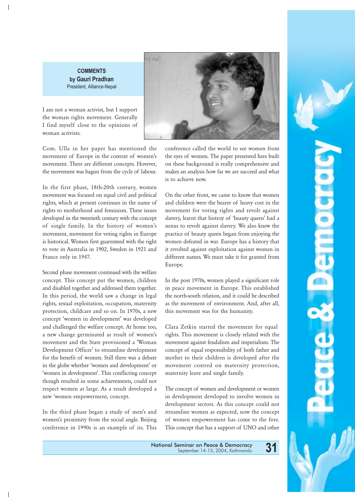

I am not a woman activist, but I support the woman rights movement. Generally I find myself close to the opinions of woman activists.

Com. Ulla in her paper has mentioned the movement of Europe in the context of women's movement. There are different concepts. Hovever, the movement was bagun from the cycle of labour.

In the first phase, 18th-20th century, women movement was focused on equal civil and political rights, which at present continues in the name of rights to motherhood and feminism. These issues developed in the twentieth century with the concept of single family. In the history of women's movement, movement for voting rights in Europe is historical. Women first guarenteed with the right to vote in Australia in 1902, Sweden in 1921 and France only in 1947.

Second phase movement continued with the welfare concept. This concept put the women, children and disabled together and addressed them together. In this period, the world saw a change in legal rights, sexual exploitation, occupation, maternity protection, childcare and so on. In 1970s, a new concept 'women in development' was developed and challenged the welfare concept. At home too, a new change germinated as result of women's movement and the State provisioned a 'Woman Development Officer' to streamline development for the benefit of women. Still there was a debate in the globe whether 'women and development' or 'women in development'. This conflicting concept though resulted in some achievements, could not respect women at large. As a result developed a new 'women empowerment, concept.

In the third phase began a study of men's and women's proximity from the social angle. Beijing conference in 1990s is an example of its. This



conference called the world to see women from the eyes of women. The paper presented here built on these background is really comprehensive and makes an analysis how far we are succeed and what is to achieve now.

On the other front, we came to know that women and children were the bearer of heavy cost in the movement for voting rights and revolt against slavery, learnt that histroy of 'beauty queen' had a nexus to revolt against slavery. We also knew the practice of beauty queen began from enjoying the women defeated in war. Europe has a history that it revolted against exploitation against women in different names. We must take it for granted from Europe.

In the post 1970s, women played a significant role in peace movement in Europe. This established the north-south relation, and it could be described as the movement of environment. And, after all, this movement was for the humanity.

Clara Zetkin started the movement for equal rights. This movement is closely related with the movement against feudalism and imperialism. The concept of equal responsibility of both father and mother to their children is developed after the movement centred on maternity protection, maternity leave and single family.

The concept of women and development or women in development developed to involve women in development sectors. As this concept could not streamline women as expected, now the concept of women empowerment has come to the fore. This concept that has a support of UNO and other

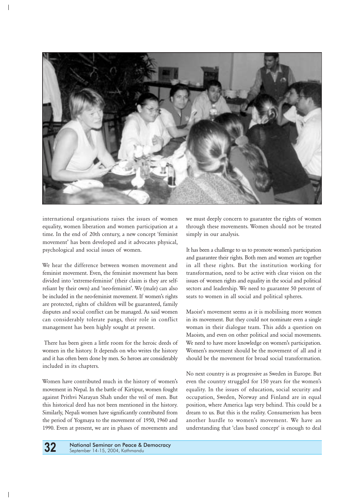

international organisations raises the issues of women equality, women liberation and women participation at a time. In the end of 20th century, a new concept 'feminist movement' has been developed and it advocates physical, psychological and social issues of women.

We hear the difference between women movement and feminist movement. Even, the feminist movement has been divided into 'extreme-feminist' (their claim is they are selfreliant by their own) and 'neo-feminist'. We (male) can also be included in the neo-feminist movement. If women's rights are protected, rights of children will be guaranteed, family disputes and social conflict can be managed. As said women can considerably tolerate pangs, their role in conflict management has been highly sought at present.

There has been given a little room for the heroic deeds of women in the history. It depends on who writes the history and it has often been done by men. So heroes are considerably included in its chapters.

Women have contributed much in the history of women's movement in Nepal. In the battle of Kirtipur, women fought against Prithvi Narayan Shah under the veil of men. But this historical deed has not been mentioned in the history. Similarly, Nepali women have significantly contributed from the period of Yogmaya to the movement of 1950, 1960 and 1990. Even at present, we are in phases of movements and we must deeply concern to guarantee the rights of women through these movements. Women should not be treated simply in our analysis.

It has been a challenge to us to promote women's participation and guarantee their rights. Both men and women are together in all these rights. But the institution working for transformation, need to be active with clear vision on the issues of women rights and equality in the social and political sectors and leadership. We need to guarantee 50 percent of seats to women in all social and political spheres.

Maoist's movement seems as it is mobilising more women in its movement. But they could not nominate even a single woman in their dialogue team. This adds a question on Maoists, and even on other political and social movements. We need to have more knowledge on women's participation. Women's movement should be the movement of all and it should be the movement for broad social transformation.

No next country is as progressive as Sweden in Europe. But even the country struggled for 150 years for the women's equality. In the issues of education, social security and occupation, Sweden, Norway and Finland are in equal position, where America lags very behind. This could be a dream to us. But this is the reality. Consumerism has been another hurdle to women's movement. We have an understanding that 'class based concept' is enough to deal

**National Seminar on Peace & Democracy** September 14-15, 2004, Kathmandu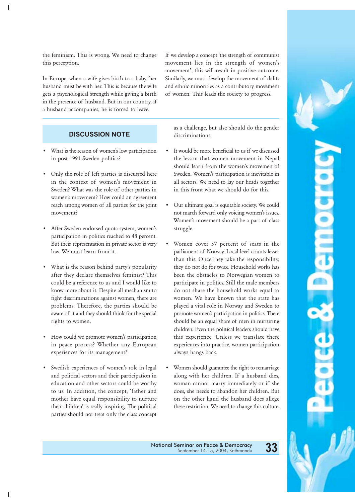the feminism. This is wrong. We need to change this perception.

In Europe, when a wife gives birth to a baby, her husband must be with her. This is because the wife gets a psychological strength while giving a birth in the presence of husband. But in our country, if a husband accompanies, he is forced to leave.

If we develop a concept 'the strength of communist movement lies in the strength of women's movement', this will result in positive outcome. Similarly, we must develop the movement of dalits and ethnic minorities as a contributory movement of women. This leads the society to progress.

### **DISCUSSION NOTE**

- What is the reason of women's low participation in post 1991 Sweden politics?
- Only the role of left parties is discussed here in the context of women's movement in Sweden? What was the role of other parties in women's movement? How could an agreement reach among women of all parties for the joint movement?
- After Sweden endorsed quota system, women's participation in politics reached to 48 percent. But their representation in private sector is very low. We must learn from it.
- What is the reason behind party's popularity after they declare themselves feminist? This could be a reference to us and I would like to know more about it. Despite all mechanism to fight discriminations against women, there are problems. Therefore, the parties should be aware of it and they should think for the special rights to women.
- How could we promote women's participation in peace process? Whether any European experiences for its management?
- Swedish experiences of women's role in legal and political sectors and their participation in education and other sectors could be worthy to us. In addition, the concept, 'father and mother have equal responsibility to nurture their children' is really inspiring. The political parties should not treat only the class concept

as a challenge, but also should do the gender discriminations.

- It would be more beneficial to us if we discussed the lesson that women movement in Nepal should learn from the women's movemen of Sweden. Women's participation is inevitable in all sectors. We need to lay our heads together in this front what we should do for this.
- $\bullet$ Our ultimate goal is equitable society. We could not march forward only voicing women's issues. Women's movement should be a part of class struggle.
	- Women cover 37 percent of seats in the parliament of Norway. Local level counts lesser than this. Once they take the responsibility, they do not do for twice. Household works has been the obstacles to Norwegian women to participate in politics. Still the male members do not share the household works equal to women. We have known that the state has played a vital role in Norway and Sweden to promote women's participation in politics. There should be an equal share of men in nurturing children. Even the political leaders should have this experience. Unless we translate these experiences into practice, women participation always hangs back.
- Women should guarantee the right to remarriage along with her children. If a husband dies, woman cannot marry immediately or if she does, she needs to abandon her children. But on the other hand the husband does allege these restriction. We need to change this culture.

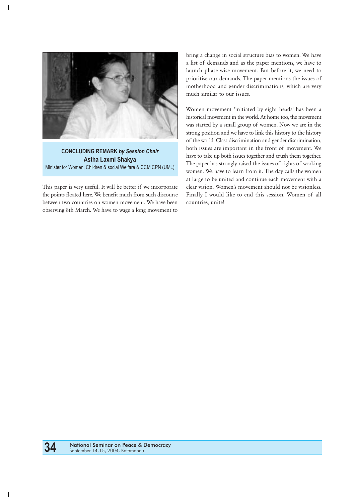

**CONCLUDING REMARK by Session Chair** Astha Laxmi Shakya Minister for Women, Children & social Welfare & CCM CPN (UML)

This paper is very useful. It will be better if we incorporate the points floated here. We benefit much from such discourse between two countries on women movement. We have been observing 8th March. We have to wage a long movement to bring a change in social structure bias to women. We have a list of demands and as the paper mentions, we have to launch phase wise movement. But before it, we need to prioritise our demands. The paper mentions the issues of motherhood and gender discriminations, which are very much similar to our issues.

Women movement 'initiated by eight heads' has been a historical movement in the world. At home too, the movement was started by a small group of women. Now we are in the strong position and we have to link this history to the history of the world. Class discrimination and gender discrimination, both issues are important in the front of movement. We have to take up both issues together and crush them together. The paper has strongly raised the issues of rights of working women. We have to learn from it. The day calls the women at large to be united and continue each movement with a clear vision. Women's movement should not be visionless. Finally I would like to end this session. Women of all countries, unite!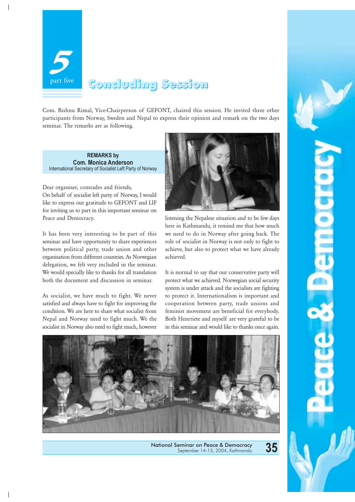

# **Consluding Session**

Com. Bishnu Rimal, Vice-Chairperson of GEFONT, chaired this session. He invited three other participants from Norway, Sweden and Nepal to express their opinion and remark on the two days seminar. The remarks are as following.

**REMARKS by Com. Monica Anderson** International Secretary of Socialist Left Party of Norway

Dear organiser, comrades and friends, On behalf of socialist left party of Norway, I would like to express our gratitude to GEFONT and LIF for inviting us to part in this important seminar on Peace and Democracy.

It has been very interesting to be part of this seminar and have opportunity to share experiences between political party, trade union and other organisation from different countries. As Norwegian delegation, we felt very included in the seminar. We would specially like to thanks for all translation both the document and discussion in seminar.

As socialist, we have much to fight. We never satisfied and always have to fight for improving the condition. We are here to share what socialist from Nepal and Norway need to fight much. We the socialist in Norway also need to fight much, however



listening the Nepalese situation and to be few days here in Kathmandu, it remind me that how much we need to do in Norway after going back. The role of socialist in Norway is not only to fight to achieve, but also to protect what we have already achieved.

plantoure we speak

It is normal to say that our conservative party will protect what we achieved. Norwegian social security system is under attack and the socialists are fighting to protect it. Internationalism is important and cooperation between party, trade unions and feminist movement are beneficial for everybody. Both Henrriete and myself are very grateful to be in this seminar and would like to thanks once again.



**National Seminar on Peace & Democracy** September 14-15, 2004, Kathmandu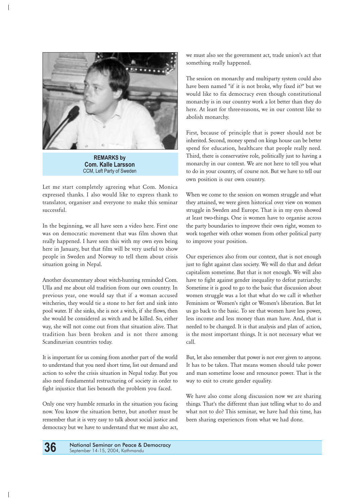

**REMARKS by Com. Kalle Larsson** CCM. Left Party of Sweden

Let me start completely agreeing what Com. Monica expressed thanks. I also would like to express thank to translator, organiser and everyone to make this seminar successful.

In the beginning, we all have seen a video here. First one was on democratic movement that was film shown that really happened. I have seen this with my own eyes being here in January, but that film will be very useful to show people in Sweden and Norway to tell them about crisis situation going in Nepal.

Another documentary about witch-hunting reminded Com. Ulla and me about old tradition from our own country. In previous year, one would say that if a woman accused witcheries, they would tie a stone to her feet and sink into pool water. If she sinks, she is not a witch, if she flows, then she would be considered as witch and be killed. So, either way, she will not come out from that situation alive. That tradition has been broken and is not there among Scandinavian countries today.

It is important for us coming from another part of the world to understand that you need short time, list out demand and action to solve the crisis situation in Nepal today. But you also need fundamental restructuring of society in order to fight injustice that lies beneath the problem you faced.

Only one very humble remarks in the situation you facing now. You know the situation better, but another must be remember that it is very easy to talk about social justice and democracy but we have to understand that we must also act,

we must also see the government act, trade union's act that something really happened.

The session on monarchy and multiparty system could also have been named "if it is not broke, why fixed it?" but we would like to fix democracy even though constitutional monarchy is in our country work a lot better than they do here. At least for three-reasons, we in our context like to abolish monarchy.

First, because of principle that is power should not be inherited. Second, money spend on kings house can be better spend for education, healthcare that people really need. Third, there is conservative role, politically just to having a monarchy in our context. We are not here to tell you what to do in your country, of course not. But we have to tell our own position is our own country.

When we come to the session on women struggle and what they attained, we were given historical over view on women struggle in Sweden and Europe. That is in my eyes showed at least two-things. One is women have to organise across the party boundaries to improve their own right, women to work together with other women from other political party to improve your position.

Our experiences also from our context, that is not enough just to fight against class society. We will do that and defeat capitalism sometime. But that is not enough. We will also have to fight against gender inequality to defeat patriarchy. Sometime it is good to go to the basic that discussion about women struggle was a lot that what do we call it whether Feminism or Women's right or Women's liberation. But let us go back to the basic. To see that women have less power, less income and less money than man have. And, that is needed to be changed. It is that analysis and plan of action, is the most important things. It is not necessary what we call.

But, let also remember that power is not ever given to anyone. It has to be taken. That means women should take power and man sometime loose and renounce power. That is the way to exit to create gender equality.

We have also come along discussion now we are sharing things. That's the different than just telling what to do and what not to do? This seminar, we have had this time, has been sharing experiences from what we had done.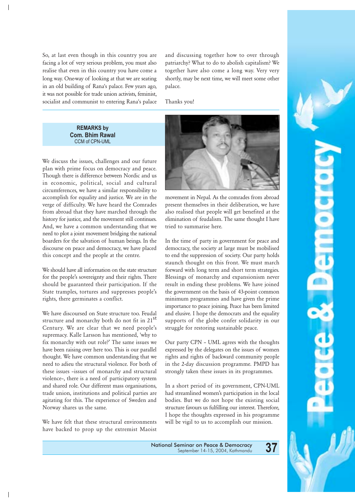So, at last even though in this country you are facing a lot of very serious problem, you must also realise that even in this country you have come a long way. One-way of looking at that we are seating in an old building of Rana's palace. Few years ago, it was not possible for trade union activists, feminist, socialist and communist to entering Rana's palace

and discussing together how to over through patriarchy? What to do to abolish capitalism? We together have also come a long way. Very very shortly, may be next time, we will meet some other palace.

Thanks you!



We discuss the issues, challenges and our future plan with prime focus on democracy and peace. Though there is difference between Nordic and us in economic, political, social and cultural circumferences, we have a similar responsibility to accomplish for equality and justice. We are in the verge of difficulty. We have heard the Comrades from abroad that they have marched through the history for justice, and the movement still continues. And, we have a common understanding that we need to plot a joint movement bridging the national boarders for the salvation of human beings. In the discourse on peace and democracy, we have placed this concept and the people at the centre.

We should have all information on the state structure for the people's sovereignty and their rights. There should be guaranteed their participation. If the State tramples, tortures and suppresses people's rights, there germinates a conflict.

We have discoursed on State structure too. Feudal structure and monarchy both do not fit in 21<sup>st</sup> Century. We are clear that we need people's supremacy. Kalle Larsson has mentioned, 'why to fix monarchy with out role?' The same issues we have been raising over here too. This is our parallel thought. We have common understanding that we need to adieu the structural violence. For both of these issues -issues of monarchy and structural violence-, there is a need of participatory system and shared role. Our different mass organisations, trade union, institutions and political parties are agitating for this. The experience of Sweden and Norway shares us the same.

We have felt that these structural environments have backed to prop up the extremist Maoist



movement in Nepal. As the comrades from abroad present themselves in their deliberation, we have also realised that people will get benefited at the elimination of feudalism. The same thought I have tried to summarise here.

In the time of party in government for peace and democracy, the society at large must be mobilised to end the suppression of society. Our party holds staunch thought on this front. We must march forward with long term and short term strategies. Blessings of monarchy and expansionism never result in ending these problems. We have joined the government on the basis of 43-point common minimum programmes and have given the prime importance to peace joining. Peace has been limited and elusive. I hope the democrats and the equality supports of the globe confer solidarity in our struggle for restoring sustainable peace.

Our party CPN - UML agrees with the thoughts expressed by the delegates on the issues of women rights and rights of backward community people in the 2-day discussion programme. PMPD has strongly taken these issues in its programmes.

In a short period of its government, CPN-UML had streamlined women's participation in the local bodies. But we do not hope the existing social structure favours us fulfilling our interest. Therefore, I hope the thoughts expressed in his programme will be vigil to us to accomplish our mission.



**Colleling** 

 $\left($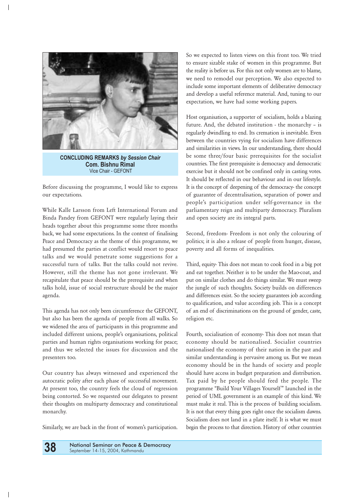

**CONCLUDING REMARKS by Session Chair Com. Bishnu Rimal** Vice Chair - GEFONT

Before discussing the programme, I would like to express our expectations.

While Kalle Larsson from Left International Forum and Binda Pandey from GEFONT were regularly laying their heads together about this programme some three months back, we had some expectations. In the context of finalising Peace and Democracy as the theme of this programme, we had presumed the parties at conflict would resort to peace talks and we would penetrate some suggestions for a successful turn of talks. But the talks could not revive. However, still the theme has not gone irrelevant. We recapitulate that peace should be the prerequisite and when talks hold, issue of social restructure should be the major agenda.

This agenda has not only been circumference the GEFONT, but also has been the agenda of people from all walks. So we widened the area of participants in this programme and included different unions, people's organisations, political parties and human rights organisations working for peace; and thus we selected the issues for discussion and the presenters too.

Our country has always witnessed and experienced the autocratic polity after each phase of successful movement. At present too, the country feels the cloud of regression being contorted. So we requested our delegates to present their thoughts on multiparty democracy and constitutional monarchy.

Similarly, we are back in the front of women's participation.

38

So we expected to listen views on this front too. We tried to ensure sizable stake of women in this programme. But the reality is before us. For this not only women are to blame, we need to remodel our perception. We also expected to include some important elements of deliberative democracy and develop a useful reference material. And, tuning to our expectation, we have had some working papers.

Host organisation, a supporter of socialism, holds a blazing future. And, the debated institution - the monarchy - is regularly dwindling to end. Its cremation is inevitable. Even between the countries vying for socialism have differences and similarities in views. In our understanding, there should be some three/four basic prerequisites for the socialist countries. The first prerequisite is democracy and democratic exercise but it should not be confined only in casting votes. It should be reflected in our behaviour and in our lifestyle. It is the concept of deepening of the democracy- the concept of guarantee of decentralisation, separation of power and people's participation under self-governance in the parliamentary reign and multiparty democracy. Pluralism and open society are its integral parts.

Second, freedom- Freedom is not only the colouring of politics; it is also a release of people from hunger, disease, poverty and all forms of inequalities.

Third, equity-This does not mean to cook food in a big pot and eat together. Neither is to be under the Mao-coat, and put on similar clothes and do things similar. We must sweep the jungle of such thoughts. Society builds on differences and differences exist. So the society guarantees job according to qualification, and value according job. This is a concept of an end of discriminations on the ground of gender, caste, religion etc.

Fourth, socialisation of economy-This does not mean that economy should be nationalised. Socialist countries nationalised the economy of their nation in the past and similar understanding is pervasive among us. But we mean economy should be in the hands of society and people should have access in budget preparation and distribution. Tax paid by he people should feed the people. The programme "Build Your Villages Yourself" launched in the period of UML government is an example of this kind. We must make it real. This is the process of building socialism. It is not that every thing goes right once the socialism dawns. Socialism does not land in a plate itself. It is what we must begin the process to that direction. History of other countries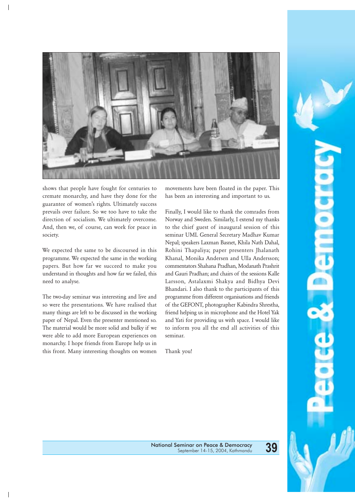

shows that people have fought for centuries to cremate monarchy, and have they done for the guarantee of women's rights. Ultimately success prevails over failure. So we too have to take the direction of socialism. We ultimately overcome. And, then we, of course, can work for peace in society.

We expected the same to be discoursed in this programme. We expected the same in the working papers. But how far we succeed to make you understand in thoughts and how far we failed, this need to analyse.

The two-day seminar was interesting and live and so were the presentations. We have realised that many things are left to be discussed in the working paper of Nepal. Even the presenter mentioned so. The material would be more solid and bulky if we were able to add more European experiences on monarchy. I hope friends from Europe help us in this front. Many interesting thoughts on women

movements have been floated in the paper. This has been an interesting and important to us.

Finally, I would like to thank the comrades from Norway and Sweden. Similarly, I extend my thanks to the chief guest of inaugural session of this seminar UML General Secretary Madhav Kumar Nepal; speakers Laxman Basnet, Khila Nath Dahal, Rohini Thapaliya; paper presenters Jhalanath Khanal, Monika Andersen and Ulla Andersson; commentators Shahana Pradhan, Modanath Prashrit and Gauri Pradhan; and chairs of the sessions Kalle Larsson, Astalaxmi Shakya and Bidhya Devi Bhandari. I also thank to the participants of this programme from different organisations and friends of the GEFONT, photographer Kabindra Shrestha, friend helping us in microphone and the Hotel Yak and Yati for providing us with space. I would like to inform you all the end all activities of this seminar.

Thank you!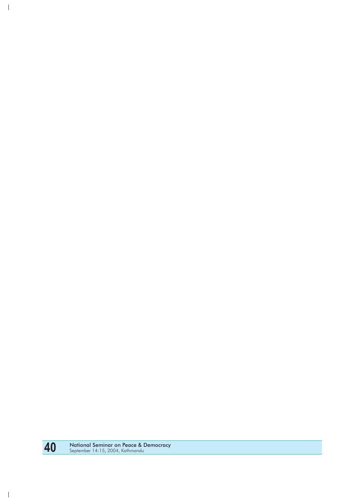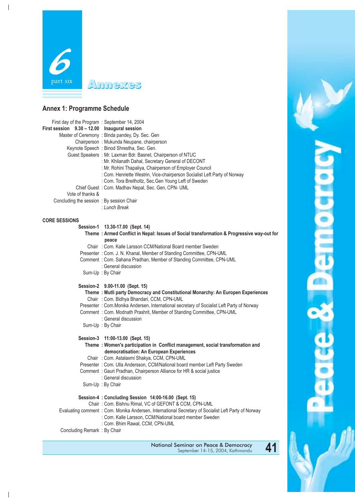

## **Annex 1: Programme Schedule**

| First day of the Program: September 14, 2004 |                                                                           |
|----------------------------------------------|---------------------------------------------------------------------------|
| First session 9.30 - 12.00 Inaugural session |                                                                           |
|                                              | Master of Ceremony: Binda pandey, Dy. Sec. Gen                            |
|                                              | Chairperson: Mukunda Neupane, chairperson                                 |
|                                              | Keynote Speech: Binod Shrestha, Sec. Gen.                                 |
|                                              | Guest Speakers: Mr. Laxman Bdr. Basnet, Chairperson of NTUC               |
|                                              | : Mr. Khilanath Dahal, Secretary General of DECONT                        |
|                                              | : Mr. Rohini Thapaliya, Chairperson of Employer Council                   |
|                                              | : Com. Henriette Westrin, Vice-chairperson Socialist Left Party of Norway |
|                                              | : Com. Tora Breitholtz, Sec. Gen Young Left of Sweden                     |
|                                              | Chief Guest: Com. Madhav Nepal, Sec. Gen, CPN- UML                        |
| Vote of thanks &                             |                                                                           |
| Concluding the session: By session Chair     |                                                                           |
|                                              | : Lunch Break                                                             |

#### **CORE SESSIONS**

Session-1 13.30-17.00 (Sept. 14)

|                             | Theme: Armed Conflict in Nepal: Issues of Social transformation & Progressive way-out for<br>peace                         |
|-----------------------------|----------------------------------------------------------------------------------------------------------------------------|
|                             | Chair: Com. Kalle Larsson CCM/National Board member Sweden                                                                 |
|                             | Presenter: Com. J. N. Khanal, Member of Standing Committee, CPN-UML                                                        |
|                             | Comment: Com. Sahana Pradhan, Member of Standing Committee, CPN-UML<br>: General discussion                                |
|                             | Sum-Up : By Chair                                                                                                          |
|                             | Session-2 9.00-11.00 (Sept. 15)                                                                                            |
|                             | Theme: Mutli party Democracy and Constitutional Monarchy: An Europen Experiences                                           |
|                             | Chair: Com. Bidhya Bhandari, CCM, CPN-UML                                                                                  |
|                             | Presenter: Com.Monika Andersen, International secretary of Socialist Left Party of Norway                                  |
|                             | Comment: Com. Modnath Prashrit, Member of Standing Committee, CPN-UML                                                      |
|                             | : General discussion                                                                                                       |
|                             | Sum-Up: By Chair                                                                                                           |
|                             | Session-3 11:00-13.00 (Sept. 15)                                                                                           |
|                             | Theme: Women's participation in Conflict management, social transformation and<br>democratisation: An European Experiences |
|                             | Chair: : Com. Astalaxmi Shakya, CCM, CPN-UML                                                                               |
|                             | Presenter: Com. Ulla Andersson, CCM/National board member Left Party Sweden                                                |
|                             | Comment: Gauri Pradhan, Chairperson Alliance for HR & social justice                                                       |
|                             | : General discussion                                                                                                       |
|                             | Sum-Up: By Chair                                                                                                           |
|                             | Session-4: Concluding Session 14:00-16.00 (Sept. 15)                                                                       |
|                             | Chair: Com. Bishnu Rimal, VC of GEFONT & CCM, CPN-UML                                                                      |
|                             | Evaluating comment: Com. Monika Andersen, International Secretary of Socialist Left Party of Norway                        |
|                             | : Com. Kalle Larsson, CCM/National board member Sweden                                                                     |
|                             | : Com. Bhim Rawal, CCM, CPN-UML                                                                                            |
| Concluding Remark: By Chair |                                                                                                                            |

National Seminar on Peace & Democracy<br>September 14-15, 2004, Kathmandu